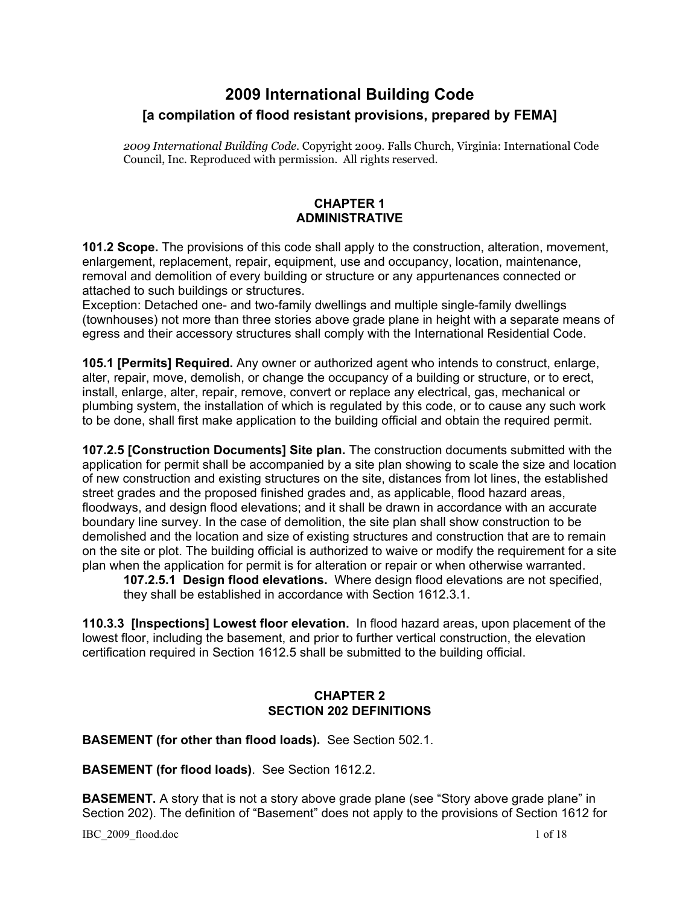# **2009 International Building Code [a compilation of flood resistant provisions, prepared by FEMA]**

*2009 International Building Code*. Copyright 2009. Falls Church, Virginia: International Code Council, Inc. Reproduced with permission. All rights reserved.

## **CHAPTER 1 ADMINISTRATIVE**

**101.2 Scope.** The provisions of this code shall apply to the construction, alteration, movement, enlargement, replacement, repair, equipment, use and occupancy, location, maintenance, removal and demolition of every building or structure or any appurtenances connected or attached to such buildings or structures.

Exception: Detached one- and two-family dwellings and multiple single-family dwellings (townhouses) not more than three stories above grade plane in height with a separate means of egress and their accessory structures shall comply with the International Residential Code.

**105.1 [Permits] Required.** Any owner or authorized agent who intends to construct, enlarge, alter, repair, move, demolish, or change the occupancy of a building or structure, or to erect, install, enlarge, alter, repair, remove, convert or replace any electrical, gas, mechanical or plumbing system, the installation of which is regulated by this code, or to cause any such work to be done, shall first make application to the building official and obtain the required permit.

**107.2.5 [Construction Documents] Site plan.** The construction documents submitted with the application for permit shall be accompanied by a site plan showing to scale the size and location of new construction and existing structures on the site, distances from lot lines, the established street grades and the proposed finished grades and, as applicable, flood hazard areas, floodways, and design flood elevations; and it shall be drawn in accordance with an accurate boundary line survey. In the case of demolition, the site plan shall show construction to be demolished and the location and size of existing structures and construction that are to remain on the site or plot. The building official is authorized to waive or modify the requirement for a site plan when the application for permit is for alteration or repair or when otherwise warranted.

**107.2.5.1 Design flood elevations.** Where design flood elevations are not specified, they shall be established in accordance with Section 1612.3.1.

**110.3.3 [Inspections] Lowest floor elevation.** In flood hazard areas, upon placement of the lowest floor, including the basement, and prior to further vertical construction, the elevation certification required in Section 1612.5 shall be submitted to the building official.

## **CHAPTER 2 SECTION 202 DEFINITIONS**

**BASEMENT (for other than flood loads).** See Section 502.1.

**BASEMENT (for flood loads)**. See Section 1612.2.

**BASEMENT.** A story that is not a story above grade plane (see "Story above grade plane" in Section 202). The definition of "Basement" does not apply to the provisions of Section 1612 for

 $\text{ABC}_2$  2009\_flood.doc 1 of 18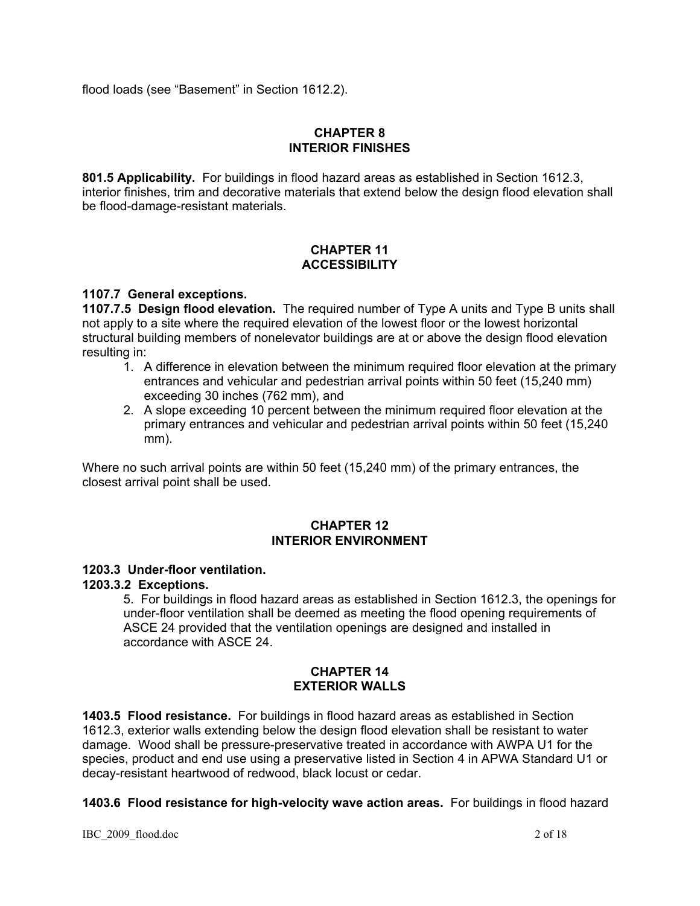flood loads (see "Basement" in Section 1612.2).

## **CHAPTER 8 INTERIOR FINISHES**

**801.5 Applicability.** For buildings in flood hazard areas as established in Section 1612.3, interior finishes, trim and decorative materials that extend below the design flood elevation shall be flood-damage-resistant materials.

## **CHAPTER 11 ACCESSIBILITY**

## **1107.7 General exceptions.**

**1107.7.5 Design flood elevation.** The required number of Type A units and Type B units shall not apply to a site where the required elevation of the lowest floor or the lowest horizontal structural building members of nonelevator buildings are at or above the design flood elevation resulting in:

- 1. A difference in elevation between the minimum required floor elevation at the primary entrances and vehicular and pedestrian arrival points within 50 feet (15,240 mm) exceeding 30 inches (762 mm), and
- 2. A slope exceeding 10 percent between the minimum required floor elevation at the primary entrances and vehicular and pedestrian arrival points within 50 feet (15,240 mm).

Where no such arrival points are within 50 feet (15,240 mm) of the primary entrances, the closest arrival point shall be used.

### **CHAPTER 12 INTERIOR ENVIRONMENT**

#### **1203.3 Under-floor ventilation.**

## **1203.3.2 Exceptions.**

5. For buildings in flood hazard areas as established in Section 1612.3, the openings for under-floor ventilation shall be deemed as meeting the flood opening requirements of ASCE 24 provided that the ventilation openings are designed and installed in accordance with ASCE 24.

#### **CHAPTER 14 EXTERIOR WALLS**

**1403.5 Flood resistance.** For buildings in flood hazard areas as established in Section 1612.3, exterior walls extending below the design flood elevation shall be resistant to water damage. Wood shall be pressure-preservative treated in accordance with AWPA U1 for the species, product and end use using a preservative listed in Section 4 in APWA Standard U1 or decay-resistant heartwood of redwood, black locust or cedar.

#### **1403.6 Flood resistance for high-velocity wave action areas.** For buildings in flood hazard

IBC\_2009\_flood.doc 2 of 18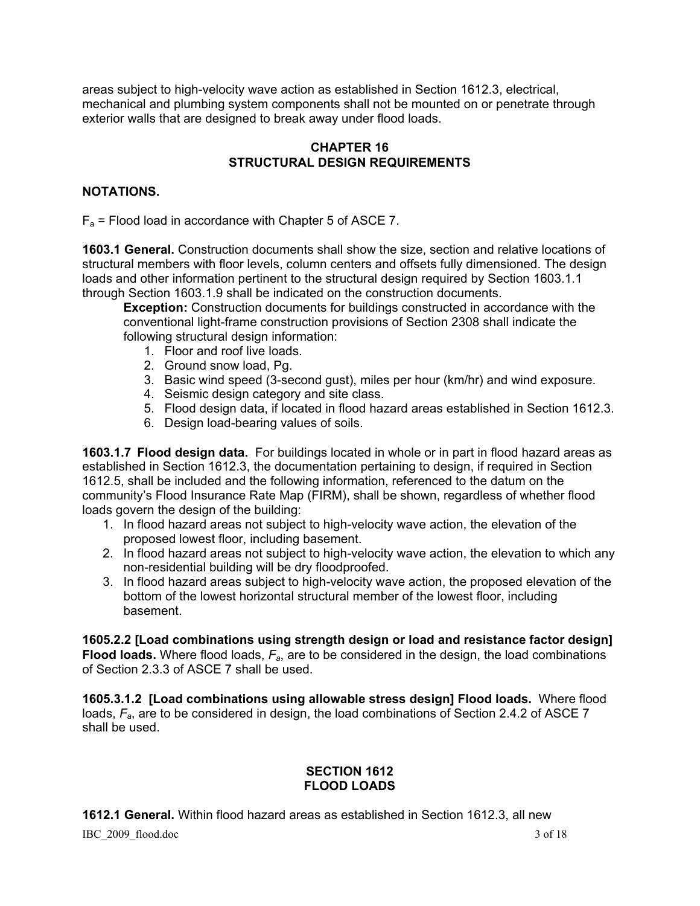areas subject to high-velocity wave action as established in Section 1612.3, electrical, mechanical and plumbing system components shall not be mounted on or penetrate through exterior walls that are designed to break away under flood loads.

## **CHAPTER 16 STRUCTURAL DESIGN REQUIREMENTS**

## **NOTATIONS.**

 $F_a$  = Flood load in accordance with Chapter 5 of ASCE 7.

**1603.1 General.** Construction documents shall show the size, section and relative locations of structural members with floor levels, column centers and offsets fully dimensioned. The design loads and other information pertinent to the structural design required by Section 1603.1.1 through Section 1603.1.9 shall be indicated on the construction documents.

**Exception:** Construction documents for buildings constructed in accordance with the conventional light-frame construction provisions of Section 2308 shall indicate the following structural design information:

- 1. Floor and roof live loads.
- 2. Ground snow load, Pg.
- 3. Basic wind speed (3-second gust), miles per hour (km/hr) and wind exposure.
- 4. Seismic design category and site class.
- 5. Flood design data, if located in flood hazard areas established in Section 1612.3.
- 6. Design load-bearing values of soils.

**1603.1.7 Flood design data.** For buildings located in whole or in part in flood hazard areas as established in Section 1612.3, the documentation pertaining to design, if required in Section 1612.5, shall be included and the following information, referenced to the datum on the community's Flood Insurance Rate Map (FIRM), shall be shown, regardless of whether flood loads govern the design of the building:

- 1. In flood hazard areas not subject to high-velocity wave action, the elevation of the proposed lowest floor, including basement.
- 2. In flood hazard areas not subject to high-velocity wave action, the elevation to which any non-residential building will be dry floodproofed.
- 3. In flood hazard areas subject to high-velocity wave action, the proposed elevation of the bottom of the lowest horizontal structural member of the lowest floor, including basement.

**1605.2.2 [Load combinations using strength design or load and resistance factor design] Flood loads.** Where flood loads,  $F_a$ , are to be considered in the design, the load combinations of Section 2.3.3 of ASCE 7 shall be used.

**1605.3.1.2 [Load combinations using allowable stress design] Flood loads.** Where flood loads,  $F_a$ , are to be considered in design, the load combinations of Section 2.4.2 of ASCE 7 shall be used.

### **SECTION 1612 FLOOD LOADS**

**1612.1 General.** Within flood hazard areas as established in Section 1612.3, all new  $\text{IBC}_2$ 009\_flood.doc 3 of 18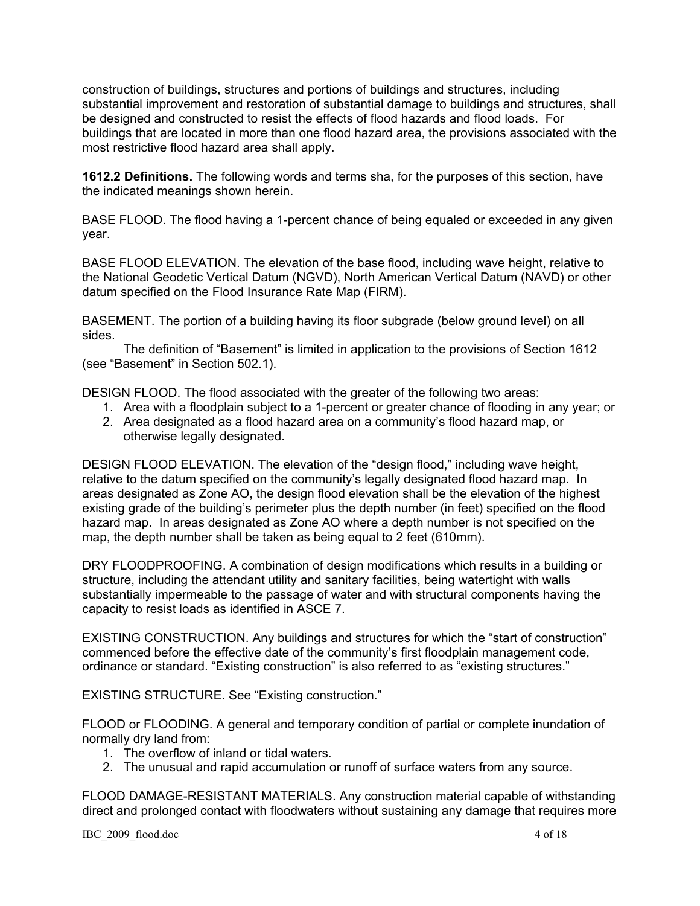construction of buildings, structures and portions of buildings and structures, including substantial improvement and restoration of substantial damage to buildings and structures, shall be designed and constructed to resist the effects of flood hazards and flood loads. For buildings that are located in more than one flood hazard area, the provisions associated with the most restrictive flood hazard area shall apply.

**1612.2 Definitions.** The following words and terms sha, for the purposes of this section, have the indicated meanings shown herein.

BASE FLOOD. The flood having a 1-percent chance of being equaled or exceeded in any given year.

BASE FLOOD ELEVATION. The elevation of the base flood, including wave height, relative to the National Geodetic Vertical Datum (NGVD), North American Vertical Datum (NAVD) or other datum specified on the Flood Insurance Rate Map (FIRM).

BASEMENT. The portion of a building having its floor subgrade (below ground level) on all sides.

The definition of "Basement" is limited in application to the provisions of Section 1612 (see "Basement" in Section 502.1).

DESIGN FLOOD. The flood associated with the greater of the following two areas:

- 1. Area with a floodplain subject to a 1-percent or greater chance of flooding in any year; or
- 2. Area designated as a flood hazard area on a community's flood hazard map, or otherwise legally designated.

DESIGN FLOOD ELEVATION. The elevation of the "design flood," including wave height, relative to the datum specified on the community's legally designated flood hazard map. In areas designated as Zone AO, the design flood elevation shall be the elevation of the highest existing grade of the building's perimeter plus the depth number (in feet) specified on the flood hazard map. In areas designated as Zone AO where a depth number is not specified on the map, the depth number shall be taken as being equal to 2 feet (610mm).

DRY FLOODPROOFING. A combination of design modifications which results in a building or structure, including the attendant utility and sanitary facilities, being watertight with walls substantially impermeable to the passage of water and with structural components having the capacity to resist loads as identified in ASCE 7.

EXISTING CONSTRUCTION. Any buildings and structures for which the "start of construction" commenced before the effective date of the community's first floodplain management code, ordinance or standard. "Existing construction" is also referred to as "existing structures."

EXISTING STRUCTURE. See "Existing construction."

FLOOD or FLOODING. A general and temporary condition of partial or complete inundation of normally dry land from:

- 1. The overflow of inland or tidal waters.
- 2. The unusual and rapid accumulation or runoff of surface waters from any source.

FLOOD DAMAGE-RESISTANT MATERIALS. Any construction material capable of withstanding direct and prolonged contact with floodwaters without sustaining any damage that requires more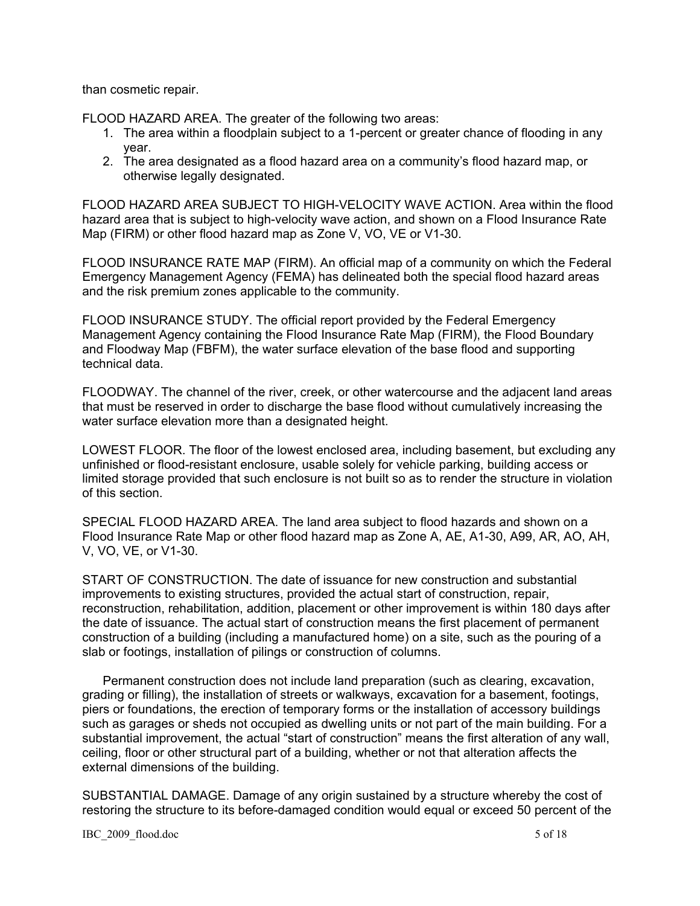than cosmetic repair.

FLOOD HAZARD AREA. The greater of the following two areas:

- 1. The area within a floodplain subject to a 1-percent or greater chance of flooding in any year.
- 2. The area designated as a flood hazard area on a community's flood hazard map, or otherwise legally designated.

FLOOD HAZARD AREA SUBJECT TO HIGH-VELOCITY WAVE ACTION. Area within the flood hazard area that is subject to high-velocity wave action, and shown on a Flood Insurance Rate Map (FIRM) or other flood hazard map as Zone V, VO, VE or V1-30.

FLOOD INSURANCE RATE MAP (FIRM). An official map of a community on which the Federal Emergency Management Agency (FEMA) has delineated both the special flood hazard areas and the risk premium zones applicable to the community.

FLOOD INSURANCE STUDY. The official report provided by the Federal Emergency Management Agency containing the Flood Insurance Rate Map (FIRM), the Flood Boundary and Floodway Map (FBFM), the water surface elevation of the base flood and supporting technical data.

FLOODWAY. The channel of the river, creek, or other watercourse and the adjacent land areas that must be reserved in order to discharge the base flood without cumulatively increasing the water surface elevation more than a designated height.

LOWEST FLOOR. The floor of the lowest enclosed area, including basement, but excluding any unfinished or flood-resistant enclosure, usable solely for vehicle parking, building access or limited storage provided that such enclosure is not built so as to render the structure in violation of this section.

SPECIAL FLOOD HAZARD AREA. The land area subject to flood hazards and shown on a Flood Insurance Rate Map or other flood hazard map as Zone A, AE, A1-30, A99, AR, AO, AH, V, VO, VE, or V1-30.

START OF CONSTRUCTION. The date of issuance for new construction and substantial improvements to existing structures, provided the actual start of construction, repair, reconstruction, rehabilitation, addition, placement or other improvement is within 180 days after the date of issuance. The actual start of construction means the first placement of permanent construction of a building (including a manufactured home) on a site, such as the pouring of a slab or footings, installation of pilings or construction of columns.

 Permanent construction does not include land preparation (such as clearing, excavation, grading or filling), the installation of streets or walkways, excavation for a basement, footings, piers or foundations, the erection of temporary forms or the installation of accessory buildings such as garages or sheds not occupied as dwelling units or not part of the main building. For a substantial improvement, the actual "start of construction" means the first alteration of any wall, ceiling, floor or other structural part of a building, whether or not that alteration affects the external dimensions of the building.

SUBSTANTIAL DAMAGE. Damage of any origin sustained by a structure whereby the cost of restoring the structure to its before-damaged condition would equal or exceed 50 percent of the

 $\text{ABC}_2$  2009\_flood.doc 5 of 18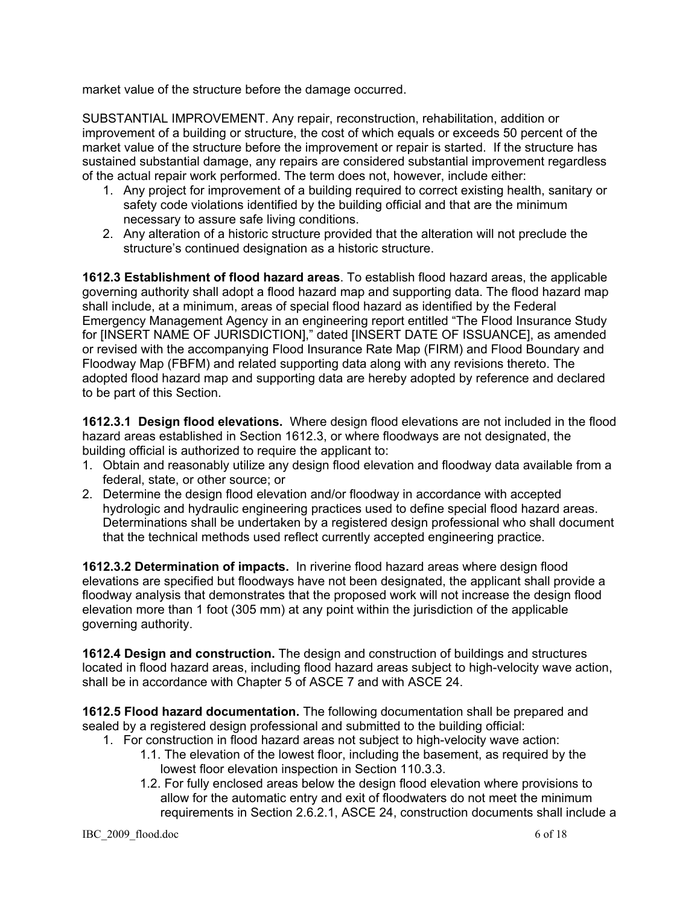market value of the structure before the damage occurred.

SUBSTANTIAL IMPROVEMENT. Any repair, reconstruction, rehabilitation, addition or improvement of a building or structure, the cost of which equals or exceeds 50 percent of the market value of the structure before the improvement or repair is started. If the structure has sustained substantial damage, any repairs are considered substantial improvement regardless of the actual repair work performed. The term does not, however, include either:

- 1. Any project for improvement of a building required to correct existing health, sanitary or safety code violations identified by the building official and that are the minimum necessary to assure safe living conditions.
- 2. Any alteration of a historic structure provided that the alteration will not preclude the structure's continued designation as a historic structure.

**1612.3 Establishment of flood hazard areas**. To establish flood hazard areas, the applicable governing authority shall adopt a flood hazard map and supporting data. The flood hazard map shall include, at a minimum, areas of special flood hazard as identified by the Federal Emergency Management Agency in an engineering report entitled "The Flood Insurance Study for [INSERT NAME OF JURISDICTION]," dated [INSERT DATE OF ISSUANCE], as amended or revised with the accompanying Flood Insurance Rate Map (FIRM) and Flood Boundary and Floodway Map (FBFM) and related supporting data along with any revisions thereto. The adopted flood hazard map and supporting data are hereby adopted by reference and declared to be part of this Section.

**1612.3.1 Design flood elevations.** Where design flood elevations are not included in the flood hazard areas established in Section 1612.3, or where floodways are not designated, the building official is authorized to require the applicant to:

- 1. Obtain and reasonably utilize any design flood elevation and floodway data available from a federal, state, or other source; or
- 2. Determine the design flood elevation and/or floodway in accordance with accepted hydrologic and hydraulic engineering practices used to define special flood hazard areas. Determinations shall be undertaken by a registered design professional who shall document that the technical methods used reflect currently accepted engineering practice.

**1612.3.2 Determination of impacts.** In riverine flood hazard areas where design flood elevations are specified but floodways have not been designated, the applicant shall provide a floodway analysis that demonstrates that the proposed work will not increase the design flood elevation more than 1 foot (305 mm) at any point within the jurisdiction of the applicable governing authority.

**1612.4 Design and construction.** The design and construction of buildings and structures located in flood hazard areas, including flood hazard areas subject to high-velocity wave action, shall be in accordance with Chapter 5 of ASCE 7 and with ASCE 24.

**1612.5 Flood hazard documentation.** The following documentation shall be prepared and sealed by a registered design professional and submitted to the building official:

- 1. For construction in flood hazard areas not subject to high-velocity wave action:
	- 1.1. The elevation of the lowest floor, including the basement, as required by the lowest floor elevation inspection in Section 110.3.3.
	- 1.2. For fully enclosed areas below the design flood elevation where provisions to allow for the automatic entry and exit of floodwaters do not meet the minimum requirements in Section 2.6.2.1, ASCE 24, construction documents shall include a

 $\text{ABC}_2$  2009\_flood.doc 6 of 18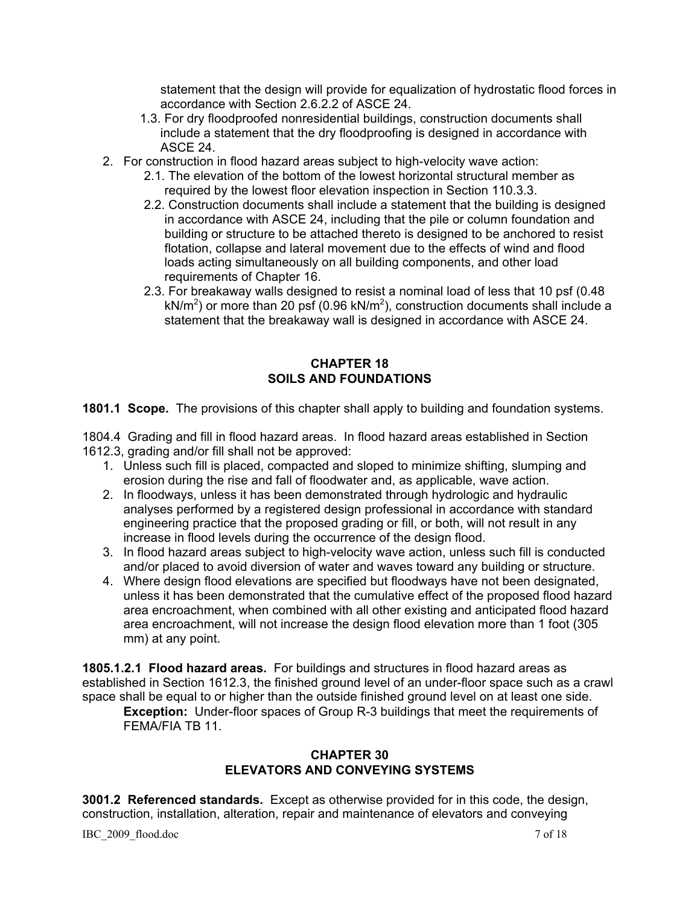statement that the design will provide for equalization of hydrostatic flood forces in accordance with Section 2.6.2.2 of ASCE 24.

- 1.3. For dry floodproofed nonresidential buildings, construction documents shall include a statement that the dry floodproofing is designed in accordance with ASCE 24.
- 2. For construction in flood hazard areas subject to high-velocity wave action:
	- 2.1. The elevation of the bottom of the lowest horizontal structural member as required by the lowest floor elevation inspection in Section 110.3.3.
	- 2.2. Construction documents shall include a statement that the building is designed in accordance with ASCE 24, including that the pile or column foundation and building or structure to be attached thereto is designed to be anchored to resist flotation, collapse and lateral movement due to the effects of wind and flood loads acting simultaneously on all building components, and other load requirements of Chapter 16.
	- 2.3. For breakaway walls designed to resist a nominal load of less that 10 psf (0.48 kN/m<sup>2</sup>) or more than 20 psf (0.96 kN/m<sup>2</sup>), construction documents shall include a statement that the breakaway wall is designed in accordance with ASCE 24.

## **CHAPTER 18 SOILS AND FOUNDATIONS**

**1801.1 Scope.** The provisions of this chapter shall apply to building and foundation systems.

1804.4 Grading and fill in flood hazard areas. In flood hazard areas established in Section 1612.3, grading and/or fill shall not be approved:

- 1. Unless such fill is placed, compacted and sloped to minimize shifting, slumping and erosion during the rise and fall of floodwater and, as applicable, wave action.
- 2. In floodways, unless it has been demonstrated through hydrologic and hydraulic analyses performed by a registered design professional in accordance with standard engineering practice that the proposed grading or fill, or both, will not result in any increase in flood levels during the occurrence of the design flood.
- 3. In flood hazard areas subject to high-velocity wave action, unless such fill is conducted and/or placed to avoid diversion of water and waves toward any building or structure.
- 4. Where design flood elevations are specified but floodways have not been designated, unless it has been demonstrated that the cumulative effect of the proposed flood hazard area encroachment, when combined with all other existing and anticipated flood hazard area encroachment, will not increase the design flood elevation more than 1 foot (305 mm) at any point.

**1805.1.2.1 Flood hazard areas.** For buildings and structures in flood hazard areas as established in Section 1612.3, the finished ground level of an under-floor space such as a crawl space shall be equal to or higher than the outside finished ground level on at least one side.

**Exception:** Under-floor spaces of Group R-3 buildings that meet the requirements of FFMA/FIA TB 11

## **CHAPTER 30 ELEVATORS AND CONVEYING SYSTEMS**

**3001.2 Referenced standards.** Except as otherwise provided for in this code, the design, construction, installation, alteration, repair and maintenance of elevators and conveying

IBC\_2009\_flood.doc 7 of 18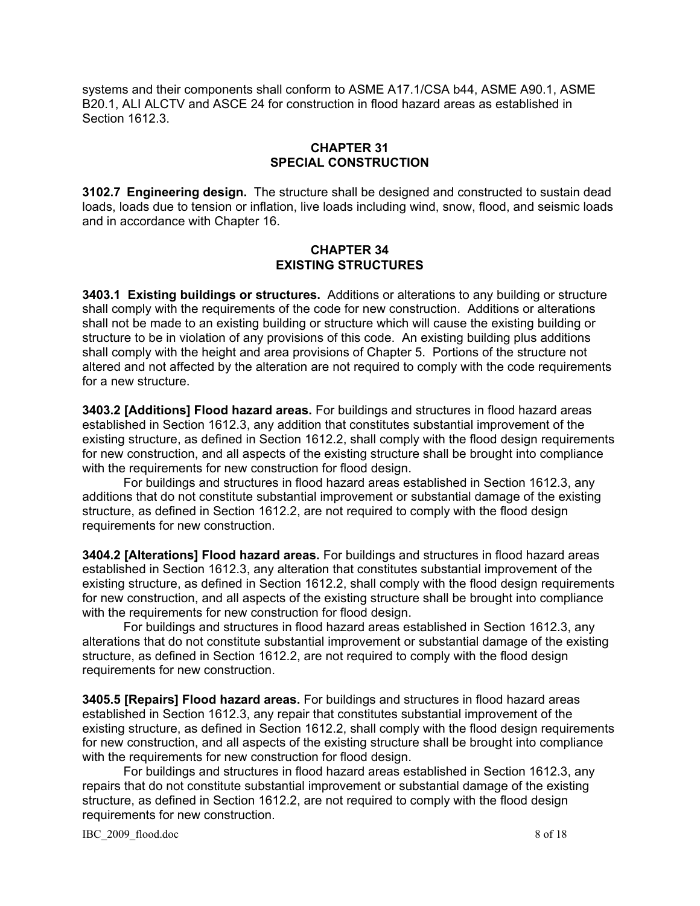systems and their components shall conform to ASME A17.1/CSA b44, ASME A90.1, ASME B20.1, ALI ALCTV and ASCE 24 for construction in flood hazard areas as established in Section 1612.3.

## **CHAPTER 31 SPECIAL CONSTRUCTION**

**3102.7 Engineering design.** The structure shall be designed and constructed to sustain dead loads, loads due to tension or inflation, live loads including wind, snow, flood, and seismic loads and in accordance with Chapter 16.

### **CHAPTER 34 EXISTING STRUCTURES**

**3403.1 Existing buildings or structures.** Additions or alterations to any building or structure shall comply with the requirements of the code for new construction. Additions or alterations shall not be made to an existing building or structure which will cause the existing building or structure to be in violation of any provisions of this code. An existing building plus additions shall comply with the height and area provisions of Chapter 5. Portions of the structure not altered and not affected by the alteration are not required to comply with the code requirements for a new structure.

**3403.2 [Additions] Flood hazard areas.** For buildings and structures in flood hazard areas established in Section 1612.3, any addition that constitutes substantial improvement of the existing structure, as defined in Section 1612.2, shall comply with the flood design requirements for new construction, and all aspects of the existing structure shall be brought into compliance with the requirements for new construction for flood design.

For buildings and structures in flood hazard areas established in Section 1612.3, any additions that do not constitute substantial improvement or substantial damage of the existing structure, as defined in Section 1612.2, are not required to comply with the flood design requirements for new construction.

**3404.2 [Alterations] Flood hazard areas.** For buildings and structures in flood hazard areas established in Section 1612.3, any alteration that constitutes substantial improvement of the existing structure, as defined in Section 1612.2, shall comply with the flood design requirements for new construction, and all aspects of the existing structure shall be brought into compliance with the requirements for new construction for flood design.

For buildings and structures in flood hazard areas established in Section 1612.3, any alterations that do not constitute substantial improvement or substantial damage of the existing structure, as defined in Section 1612.2, are not required to comply with the flood design requirements for new construction.

**3405.5 [Repairs] Flood hazard areas.** For buildings and structures in flood hazard areas established in Section 1612.3, any repair that constitutes substantial improvement of the existing structure, as defined in Section 1612.2, shall comply with the flood design requirements for new construction, and all aspects of the existing structure shall be brought into compliance with the requirements for new construction for flood design.

For buildings and structures in flood hazard areas established in Section 1612.3, any repairs that do not constitute substantial improvement or substantial damage of the existing structure, as defined in Section 1612.2, are not required to comply with the flood design requirements for new construction.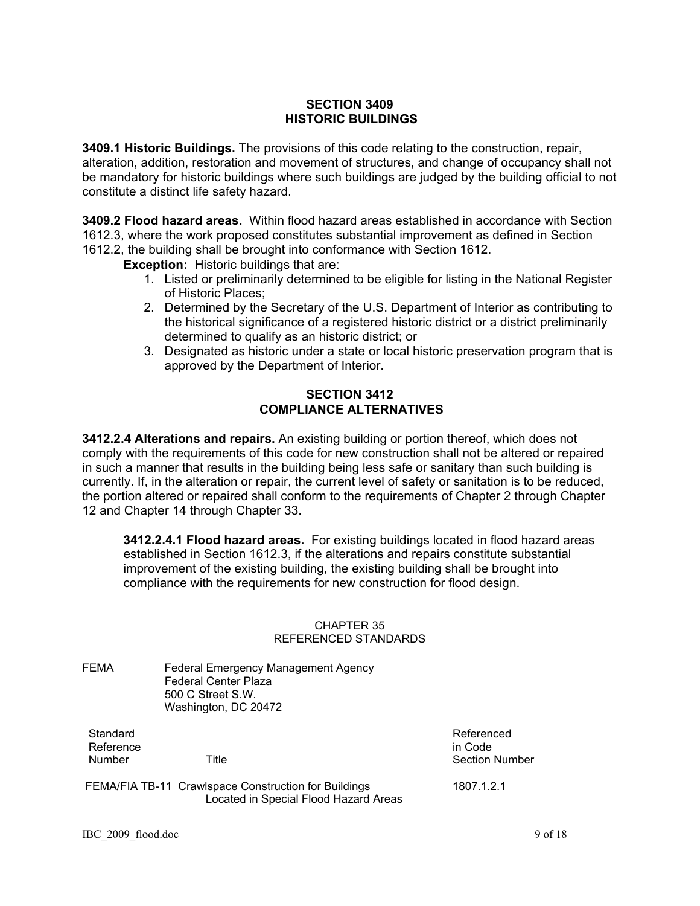## **SECTION 3409 HISTORIC BUILDINGS**

**3409.1 Historic Buildings.** The provisions of this code relating to the construction, repair, alteration, addition, restoration and movement of structures, and change of occupancy shall not be mandatory for historic buildings where such buildings are judged by the building official to not constitute a distinct life safety hazard.

**3409.2 Flood hazard areas.** Within flood hazard areas established in accordance with Section 1612.3, where the work proposed constitutes substantial improvement as defined in Section 1612.2, the building shall be brought into conformance with Section 1612.

**Exception:** Historic buildings that are:

- 1. Listed or preliminarily determined to be eligible for listing in the National Register of Historic Places;
- 2. Determined by the Secretary of the U.S. Department of Interior as contributing to the historical significance of a registered historic district or a district preliminarily determined to qualify as an historic district; or
- 3. Designated as historic under a state or local historic preservation program that is approved by the Department of Interior.

## **SECTION 3412 COMPLIANCE ALTERNATIVES**

**3412.2.4 Alterations and repairs.** An existing building or portion thereof, which does not comply with the requirements of this code for new construction shall not be altered or repaired in such a manner that results in the building being less safe or sanitary than such building is currently. If, in the alteration or repair, the current level of safety or sanitation is to be reduced, the portion altered or repaired shall conform to the requirements of Chapter 2 through Chapter 12 and Chapter 14 through Chapter 33.

**3412.2.4.1 Flood hazard areas.** For existing buildings located in flood hazard areas established in Section 1612.3, if the alterations and repairs constitute substantial improvement of the existing building, the existing building shall be brought into compliance with the requirements for new construction for flood design.

### CHAPTER 35 REFERENCED STANDARDS

| FEMA | Federal Emergency Management Agency |
|------|-------------------------------------|
|      | <b>Federal Center Plaza</b>         |
|      | 500 C Street S.W.                   |
|      | Washington, DC 20472                |

Standard **Referenced** Referenced Reference in Code Number Title **Times Times Communist Communist Communist Communist Communist Communist Communist Communist Communist Communist Communist Communist Communist Communist Communist Communist Communist Communist Communist Commun** FEMA/FIA TB-11 Crawlspace Construction for Buildings 1807.1.2.1 Located in Special Flood Hazard Areas

IBC\_2009\_flood.doc 9 of 18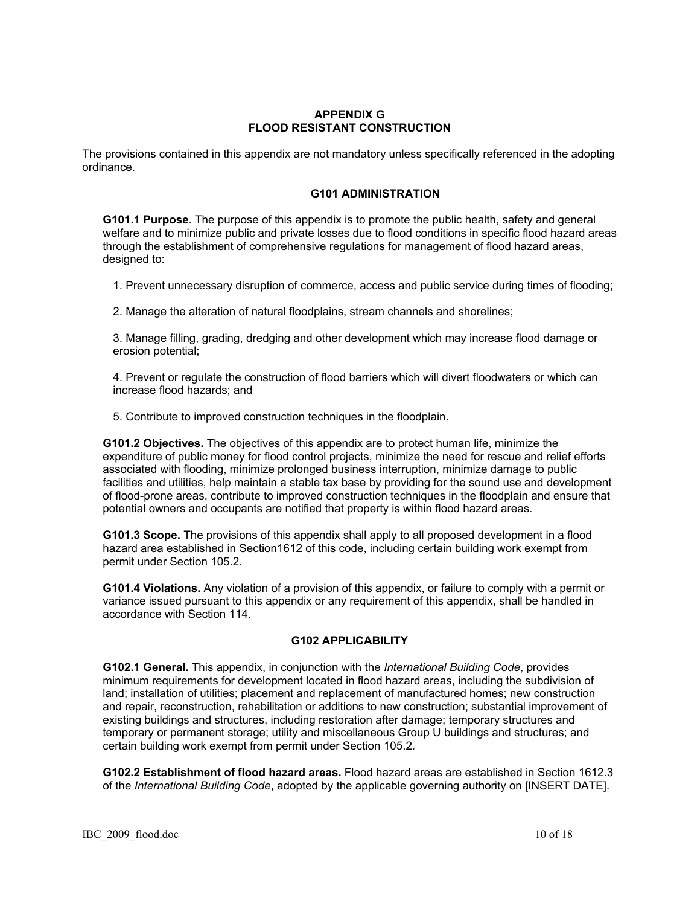#### **APPENDIX G FLOOD RESISTANT CONSTRUCTION**

The provisions contained in this appendix are not mandatory unless specifically referenced in the adopting ordinance.

#### **G101 ADMINISTRATION**

**G101.1 Purpose**. The purpose of this appendix is to promote the public health, safety and general welfare and to minimize public and private losses due to flood conditions in specific flood hazard areas through the establishment of comprehensive regulations for management of flood hazard areas, designed to:

1. Prevent unnecessary disruption of commerce, access and public service during times of flooding;

2. Manage the alteration of natural floodplains, stream channels and shorelines;

3. Manage filling, grading, dredging and other development which may increase flood damage or erosion potential;

4. Prevent or regulate the construction of flood barriers which will divert floodwaters or which can increase flood hazards; and

5. Contribute to improved construction techniques in the floodplain.

**G101.2 Objectives.** The objectives of this appendix are to protect human life, minimize the expenditure of public money for flood control projects, minimize the need for rescue and relief efforts associated with flooding, minimize prolonged business interruption, minimize damage to public facilities and utilities, help maintain a stable tax base by providing for the sound use and development of flood-prone areas, contribute to improved construction techniques in the floodplain and ensure that potential owners and occupants are notified that property is within flood hazard areas.

**G101.3 Scope.** The provisions of this appendix shall apply to all proposed development in a flood hazard area established in Section1612 of this code, including certain building work exempt from permit under Section 105.2.

**G101.4 Violations.** Any violation of a provision of this appendix, or failure to comply with a permit or variance issued pursuant to this appendix or any requirement of this appendix, shall be handled in accordance with Section 114.

#### **G102 APPLICABILITY**

**G102.1 General.** This appendix, in conjunction with the *International Building Code*, provides minimum requirements for development located in flood hazard areas, including the subdivision of land; installation of utilities; placement and replacement of manufactured homes; new construction and repair, reconstruction, rehabilitation or additions to new construction; substantial improvement of existing buildings and structures, including restoration after damage; temporary structures and temporary or permanent storage; utility and miscellaneous Group U buildings and structures; and certain building work exempt from permit under Section 105.2.

**G102.2 Establishment of flood hazard areas.** Flood hazard areas are established in Section 1612.3 of the *International Building Code*, adopted by the applicable governing authority on [INSERT DATE].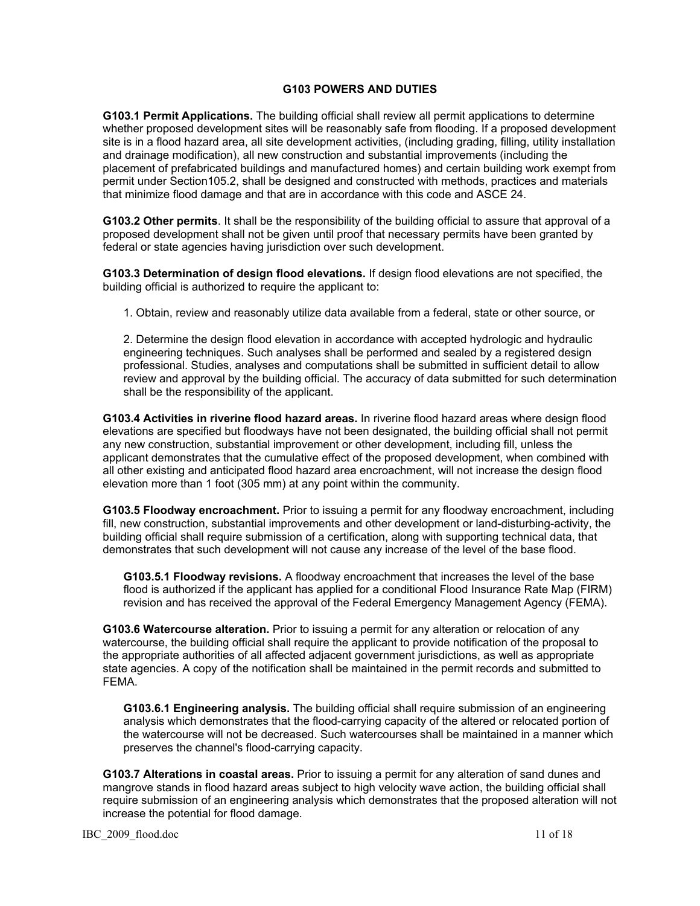#### **G103 POWERS AND DUTIES**

**G103.1 Permit Applications.** The building official shall review all permit applications to determine whether proposed development sites will be reasonably safe from flooding. If a proposed development site is in a flood hazard area, all site development activities, (including grading, filling, utility installation and drainage modification), all new construction and substantial improvements (including the placement of prefabricated buildings and manufactured homes) and certain building work exempt from permit under Section105.2, shall be designed and constructed with methods, practices and materials that minimize flood damage and that are in accordance with this code and ASCE 24.

**G103.2 Other permits**. It shall be the responsibility of the building official to assure that approval of a proposed development shall not be given until proof that necessary permits have been granted by federal or state agencies having jurisdiction over such development.

**G103.3 Determination of design flood elevations.** If design flood elevations are not specified, the building official is authorized to require the applicant to:

1. Obtain, review and reasonably utilize data available from a federal, state or other source, or

2. Determine the design flood elevation in accordance with accepted hydrologic and hydraulic engineering techniques. Such analyses shall be performed and sealed by a registered design professional. Studies, analyses and computations shall be submitted in sufficient detail to allow review and approval by the building official. The accuracy of data submitted for such determination shall be the responsibility of the applicant.

**G103.4 Activities in riverine flood hazard areas.** In riverine flood hazard areas where design flood elevations are specified but floodways have not been designated, the building official shall not permit any new construction, substantial improvement or other development, including fill, unless the applicant demonstrates that the cumulative effect of the proposed development, when combined with all other existing and anticipated flood hazard area encroachment, will not increase the design flood elevation more than 1 foot (305 mm) at any point within the community.

**G103.5 Floodway encroachment.** Prior to issuing a permit for any floodway encroachment, including fill, new construction, substantial improvements and other development or land-disturbing-activity, the building official shall require submission of a certification, along with supporting technical data, that demonstrates that such development will not cause any increase of the level of the base flood.

**G103.5.1 Floodway revisions.** A floodway encroachment that increases the level of the base flood is authorized if the applicant has applied for a conditional Flood Insurance Rate Map (FIRM) revision and has received the approval of the Federal Emergency Management Agency (FEMA).

**G103.6 Watercourse alteration.** Prior to issuing a permit for any alteration or relocation of any watercourse, the building official shall require the applicant to provide notification of the proposal to the appropriate authorities of all affected adjacent government jurisdictions, as well as appropriate state agencies. A copy of the notification shall be maintained in the permit records and submitted to FEMA.

**G103.6.1 Engineering analysis.** The building official shall require submission of an engineering analysis which demonstrates that the flood-carrying capacity of the altered or relocated portion of the watercourse will not be decreased. Such watercourses shall be maintained in a manner which preserves the channel's flood-carrying capacity.

**G103.7 Alterations in coastal areas.** Prior to issuing a permit for any alteration of sand dunes and mangrove stands in flood hazard areas subject to high velocity wave action, the building official shall require submission of an engineering analysis which demonstrates that the proposed alteration will not increase the potential for flood damage.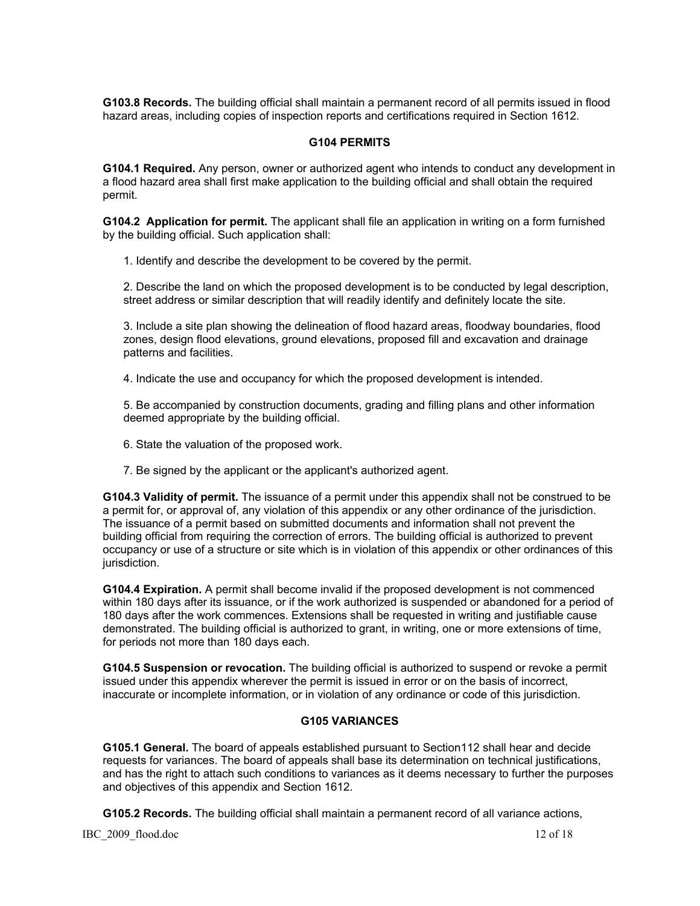**G103.8 Records.** The building official shall maintain a permanent record of all permits issued in flood hazard areas, including copies of inspection reports and certifications required in Section 1612.

#### **G104 PERMITS**

**G104.1 Required.** Any person, owner or authorized agent who intends to conduct any development in a flood hazard area shall first make application to the building official and shall obtain the required permit.

**G104.2 Application for permit.** The applicant shall file an application in writing on a form furnished by the building official. Such application shall:

1. Identify and describe the development to be covered by the permit.

2. Describe the land on which the proposed development is to be conducted by legal description, street address or similar description that will readily identify and definitely locate the site.

3. Include a site plan showing the delineation of flood hazard areas, floodway boundaries, flood zones, design flood elevations, ground elevations, proposed fill and excavation and drainage patterns and facilities.

4. Indicate the use and occupancy for which the proposed development is intended.

5. Be accompanied by construction documents, grading and filling plans and other information deemed appropriate by the building official.

- 6. State the valuation of the proposed work.
- 7. Be signed by the applicant or the applicant's authorized agent.

**G104.3 Validity of permit.** The issuance of a permit under this appendix shall not be construed to be a permit for, or approval of, any violation of this appendix or any other ordinance of the jurisdiction. The issuance of a permit based on submitted documents and information shall not prevent the building official from requiring the correction of errors. The building official is authorized to prevent occupancy or use of a structure or site which is in violation of this appendix or other ordinances of this jurisdiction.

**G104.4 Expiration.** A permit shall become invalid if the proposed development is not commenced within 180 days after its issuance, or if the work authorized is suspended or abandoned for a period of 180 days after the work commences. Extensions shall be requested in writing and justifiable cause demonstrated. The building official is authorized to grant, in writing, one or more extensions of time, for periods not more than 180 days each.

**G104.5 Suspension or revocation.** The building official is authorized to suspend or revoke a permit issued under this appendix wherever the permit is issued in error or on the basis of incorrect, inaccurate or incomplete information, or in violation of any ordinance or code of this jurisdiction.

#### **G105 VARIANCES**

**G105.1 General.** The board of appeals established pursuant to Section112 shall hear and decide requests for variances. The board of appeals shall base its determination on technical justifications, and has the right to attach such conditions to variances as it deems necessary to further the purposes and objectives of this appendix and Section 1612.

**G105.2 Records.** The building official shall maintain a permanent record of all variance actions,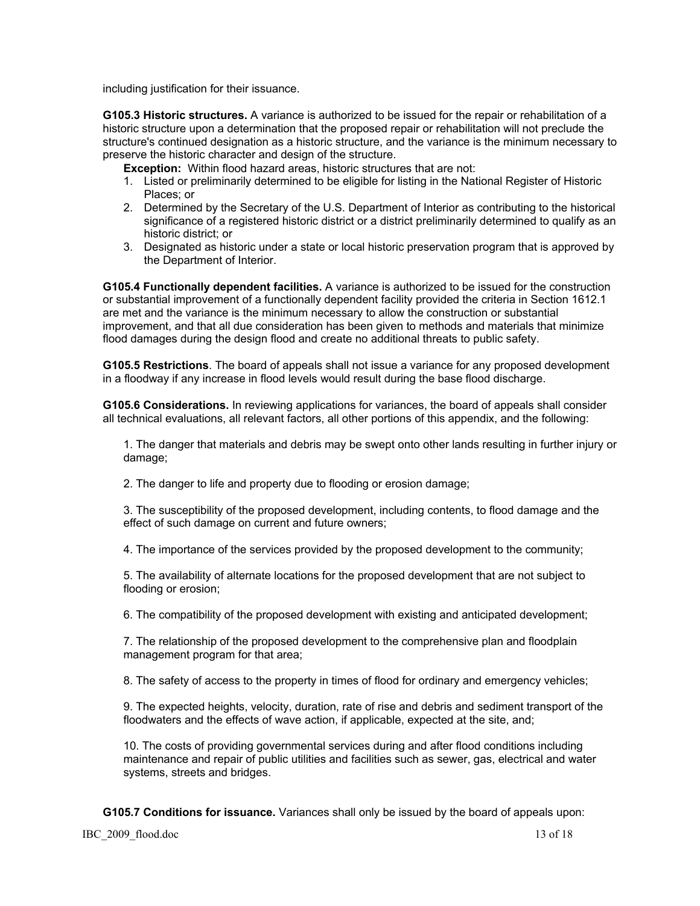including justification for their issuance.

**G105.3 Historic structures.** A variance is authorized to be issued for the repair or rehabilitation of a historic structure upon a determination that the proposed repair or rehabilitation will not preclude the structure's continued designation as a historic structure, and the variance is the minimum necessary to preserve the historic character and design of the structure.

**Exception:** Within flood hazard areas, historic structures that are not:

- 1. Listed or preliminarily determined to be eligible for listing in the National Register of Historic Places; or
- 2. Determined by the Secretary of the U.S. Department of Interior as contributing to the historical significance of a registered historic district or a district preliminarily determined to qualify as an historic district; or
- 3. Designated as historic under a state or local historic preservation program that is approved by the Department of Interior.

**G105.4 Functionally dependent facilities.** A variance is authorized to be issued for the construction or substantial improvement of a functionally dependent facility provided the criteria in Section 1612.1 are met and the variance is the minimum necessary to allow the construction or substantial improvement, and that all due consideration has been given to methods and materials that minimize flood damages during the design flood and create no additional threats to public safety.

**G105.5 Restrictions**. The board of appeals shall not issue a variance for any proposed development in a floodway if any increase in flood levels would result during the base flood discharge.

**G105.6 Considerations.** In reviewing applications for variances, the board of appeals shall consider all technical evaluations, all relevant factors, all other portions of this appendix, and the following:

1. The danger that materials and debris may be swept onto other lands resulting in further injury or damage;

2. The danger to life and property due to flooding or erosion damage;

3. The susceptibility of the proposed development, including contents, to flood damage and the effect of such damage on current and future owners;

4. The importance of the services provided by the proposed development to the community;

5. The availability of alternate locations for the proposed development that are not subject to flooding or erosion;

6. The compatibility of the proposed development with existing and anticipated development;

7. The relationship of the proposed development to the comprehensive plan and floodplain management program for that area;

8. The safety of access to the property in times of flood for ordinary and emergency vehicles;

9. The expected heights, velocity, duration, rate of rise and debris and sediment transport of the floodwaters and the effects of wave action, if applicable, expected at the site, and;

10. The costs of providing governmental services during and after flood conditions including maintenance and repair of public utilities and facilities such as sewer, gas, electrical and water systems, streets and bridges.

**G105.7 Conditions for issuance.** Variances shall only be issued by the board of appeals upon: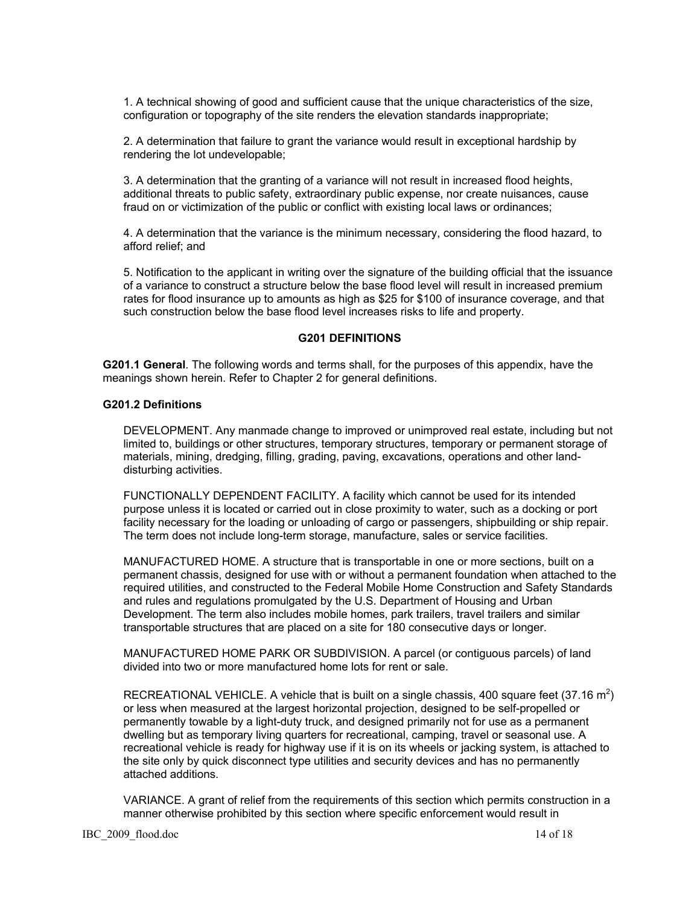1. A technical showing of good and sufficient cause that the unique characteristics of the size, configuration or topography of the site renders the elevation standards inappropriate;

2. A determination that failure to grant the variance would result in exceptional hardship by rendering the lot undevelopable;

3. A determination that the granting of a variance will not result in increased flood heights, additional threats to public safety, extraordinary public expense, nor create nuisances, cause fraud on or victimization of the public or conflict with existing local laws or ordinances;

4. A determination that the variance is the minimum necessary, considering the flood hazard, to afford relief; and

5. Notification to the applicant in writing over the signature of the building official that the issuance of a variance to construct a structure below the base flood level will result in increased premium rates for flood insurance up to amounts as high as \$25 for \$100 of insurance coverage, and that such construction below the base flood level increases risks to life and property.

#### **G201 DEFINITIONS**

**G201.1 General**. The following words and terms shall, for the purposes of this appendix, have the meanings shown herein. Refer to Chapter 2 for general definitions.

#### **G201.2 Definitions**

DEVELOPMENT. Any manmade change to improved or unimproved real estate, including but not limited to, buildings or other structures, temporary structures, temporary or permanent storage of materials, mining, dredging, filling, grading, paving, excavations, operations and other landdisturbing activities.

FUNCTIONALLY DEPENDENT FACILITY. A facility which cannot be used for its intended purpose unless it is located or carried out in close proximity to water, such as a docking or port facility necessary for the loading or unloading of cargo or passengers, shipbuilding or ship repair. The term does not include long-term storage, manufacture, sales or service facilities.

MANUFACTURED HOME. A structure that is transportable in one or more sections, built on a permanent chassis, designed for use with or without a permanent foundation when attached to the required utilities, and constructed to the Federal Mobile Home Construction and Safety Standards and rules and regulations promulgated by the U.S. Department of Housing and Urban Development. The term also includes mobile homes, park trailers, travel trailers and similar transportable structures that are placed on a site for 180 consecutive days or longer.

MANUFACTURED HOME PARK OR SUBDIVISION. A parcel (or contiguous parcels) of land divided into two or more manufactured home lots for rent or sale.

RECREATIONAL VEHICLE. A vehicle that is built on a single chassis, 400 square feet (37.16 m<sup>2</sup>) or less when measured at the largest horizontal projection, designed to be self-propelled or permanently towable by a light-duty truck, and designed primarily not for use as a permanent dwelling but as temporary living quarters for recreational, camping, travel or seasonal use. A recreational vehicle is ready for highway use if it is on its wheels or jacking system, is attached to the site only by quick disconnect type utilities and security devices and has no permanently attached additions.

VARIANCE. A grant of relief from the requirements of this section which permits construction in a manner otherwise prohibited by this section where specific enforcement would result in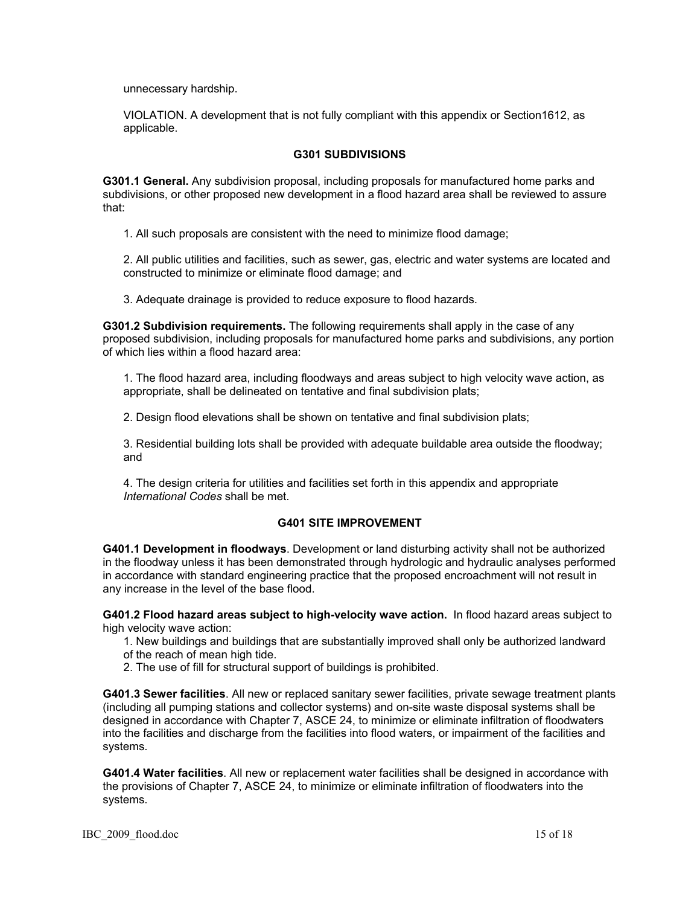unnecessary hardship.

VIOLATION. A development that is not fully compliant with this appendix or Section1612, as applicable.

#### **G301 SUBDIVISIONS**

**G301.1 General.** Any subdivision proposal, including proposals for manufactured home parks and subdivisions, or other proposed new development in a flood hazard area shall be reviewed to assure that:

1. All such proposals are consistent with the need to minimize flood damage;

2. All public utilities and facilities, such as sewer, gas, electric and water systems are located and constructed to minimize or eliminate flood damage; and

3. Adequate drainage is provided to reduce exposure to flood hazards.

**G301.2 Subdivision requirements.** The following requirements shall apply in the case of any proposed subdivision, including proposals for manufactured home parks and subdivisions, any portion of which lies within a flood hazard area:

1. The flood hazard area, including floodways and areas subject to high velocity wave action, as appropriate, shall be delineated on tentative and final subdivision plats;

2. Design flood elevations shall be shown on tentative and final subdivision plats;

3. Residential building lots shall be provided with adequate buildable area outside the floodway; and

4. The design criteria for utilities and facilities set forth in this appendix and appropriate *International Codes* shall be met.

#### **G401 SITE IMPROVEMENT**

**G401.1 Development in floodways**. Development or land disturbing activity shall not be authorized in the floodway unless it has been demonstrated through hydrologic and hydraulic analyses performed in accordance with standard engineering practice that the proposed encroachment will not result in any increase in the level of the base flood.

**G401.2 Flood hazard areas subject to high-velocity wave action.** In flood hazard areas subject to high velocity wave action:

1. New buildings and buildings that are substantially improved shall only be authorized landward of the reach of mean high tide.

2. The use of fill for structural support of buildings is prohibited.

**G401.3 Sewer facilities**. All new or replaced sanitary sewer facilities, private sewage treatment plants (including all pumping stations and collector systems) and on-site waste disposal systems shall be designed in accordance with Chapter 7, ASCE 24, to minimize or eliminate infiltration of floodwaters into the facilities and discharge from the facilities into flood waters, or impairment of the facilities and systems.

**G401.4 Water facilities**. All new or replacement water facilities shall be designed in accordance with the provisions of Chapter 7, ASCE 24, to minimize or eliminate infiltration of floodwaters into the systems.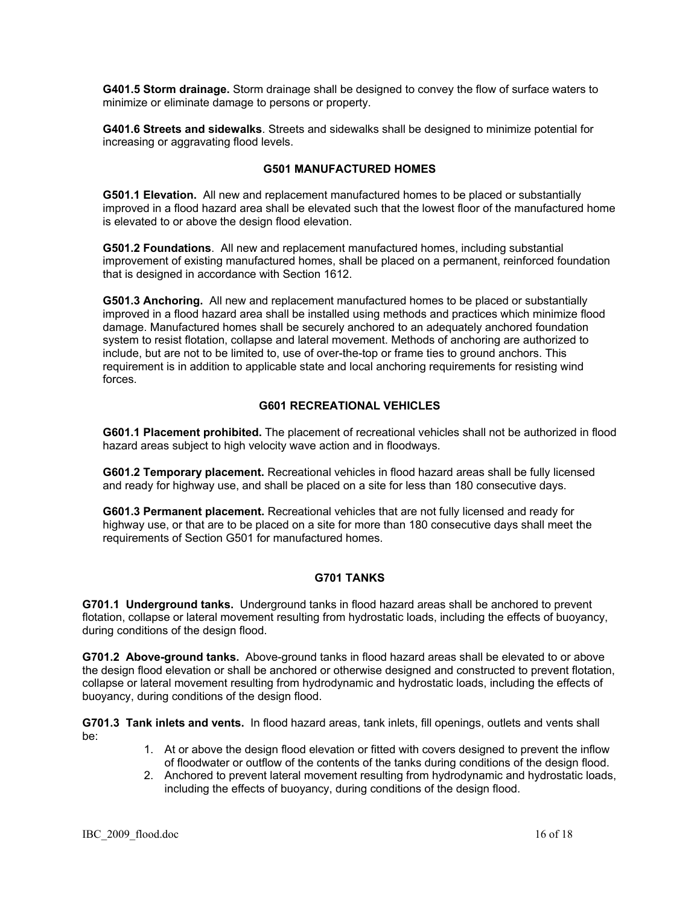**G401.5 Storm drainage.** Storm drainage shall be designed to convey the flow of surface waters to minimize or eliminate damage to persons or property.

**G401.6 Streets and sidewalks**. Streets and sidewalks shall be designed to minimize potential for increasing or aggravating flood levels.

#### **G501 MANUFACTURED HOMES**

**G501.1 Elevation.** All new and replacement manufactured homes to be placed or substantially improved in a flood hazard area shall be elevated such that the lowest floor of the manufactured home is elevated to or above the design flood elevation.

**G501.2 Foundations**. All new and replacement manufactured homes, including substantial improvement of existing manufactured homes, shall be placed on a permanent, reinforced foundation that is designed in accordance with Section 1612.

**G501.3 Anchoring.** All new and replacement manufactured homes to be placed or substantially improved in a flood hazard area shall be installed using methods and practices which minimize flood damage. Manufactured homes shall be securely anchored to an adequately anchored foundation system to resist flotation, collapse and lateral movement. Methods of anchoring are authorized to include, but are not to be limited to, use of over-the-top or frame ties to ground anchors. This requirement is in addition to applicable state and local anchoring requirements for resisting wind forces.

#### **G601 RECREATIONAL VEHICLES**

**G601.1 Placement prohibited.** The placement of recreational vehicles shall not be authorized in flood hazard areas subject to high velocity wave action and in floodways.

**G601.2 Temporary placement.** Recreational vehicles in flood hazard areas shall be fully licensed and ready for highway use, and shall be placed on a site for less than 180 consecutive days.

**G601.3 Permanent placement.** Recreational vehicles that are not fully licensed and ready for highway use, or that are to be placed on a site for more than 180 consecutive days shall meet the requirements of Section G501 for manufactured homes.

#### **G701 TANKS**

**G701.1 Underground tanks.** Underground tanks in flood hazard areas shall be anchored to prevent flotation, collapse or lateral movement resulting from hydrostatic loads, including the effects of buoyancy, during conditions of the design flood.

**G701.2 Above-ground tanks.** Above-ground tanks in flood hazard areas shall be elevated to or above the design flood elevation or shall be anchored or otherwise designed and constructed to prevent flotation, collapse or lateral movement resulting from hydrodynamic and hydrostatic loads, including the effects of buoyancy, during conditions of the design flood.

**G701.3 Tank inlets and vents.** In flood hazard areas, tank inlets, fill openings, outlets and vents shall be:

- 1. At or above the design flood elevation or fitted with covers designed to prevent the inflow of floodwater or outflow of the contents of the tanks during conditions of the design flood.
- 2. Anchored to prevent lateral movement resulting from hydrodynamic and hydrostatic loads, including the effects of buoyancy, during conditions of the design flood.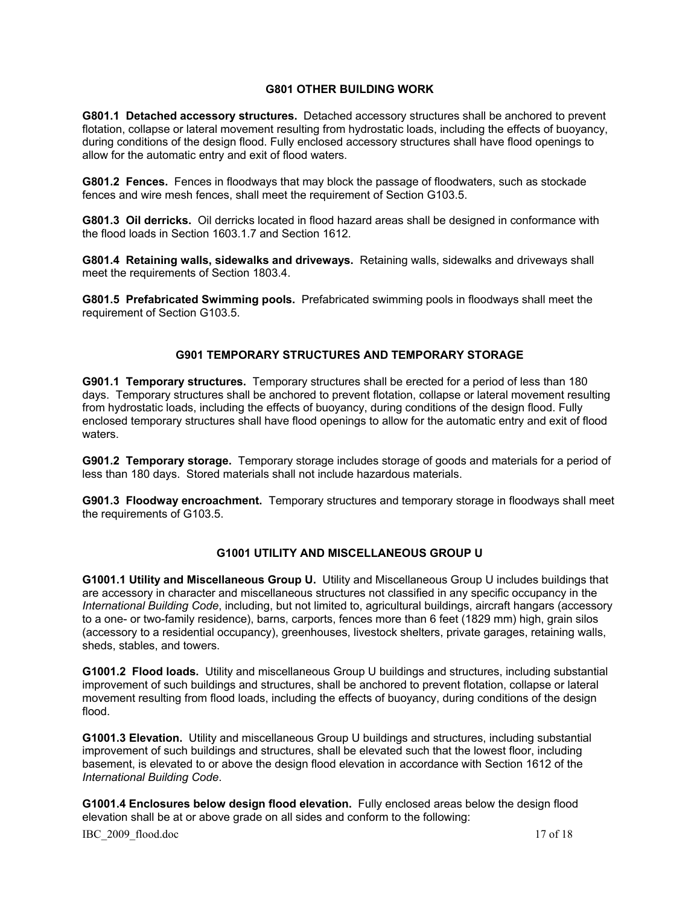#### **G801 OTHER BUILDING WORK**

**G801.1 Detached accessory structures.** Detached accessory structures shall be anchored to prevent flotation, collapse or lateral movement resulting from hydrostatic loads, including the effects of buoyancy, during conditions of the design flood. Fully enclosed accessory structures shall have flood openings to allow for the automatic entry and exit of flood waters.

**G801.2 Fences.** Fences in floodways that may block the passage of floodwaters, such as stockade fences and wire mesh fences, shall meet the requirement of Section G103.5.

**G801.3 Oil derricks.** Oil derricks located in flood hazard areas shall be designed in conformance with the flood loads in Section 1603.1.7 and Section 1612.

**G801.4 Retaining walls, sidewalks and driveways.** Retaining walls, sidewalks and driveways shall meet the requirements of Section 1803.4.

**G801.5 Prefabricated Swimming pools.** Prefabricated swimming pools in floodways shall meet the requirement of Section G103.5.

#### **G901 TEMPORARY STRUCTURES AND TEMPORARY STORAGE**

**G901.1 Temporary structures.** Temporary structures shall be erected for a period of less than 180 days. Temporary structures shall be anchored to prevent flotation, collapse or lateral movement resulting from hydrostatic loads, including the effects of buoyancy, during conditions of the design flood. Fully enclosed temporary structures shall have flood openings to allow for the automatic entry and exit of flood waters.

**G901.2 Temporary storage.** Temporary storage includes storage of goods and materials for a period of less than 180 days. Stored materials shall not include hazardous materials.

**G901.3 Floodway encroachment.** Temporary structures and temporary storage in floodways shall meet the requirements of G103.5.

#### **G1001 UTILITY AND MISCELLANEOUS GROUP U**

**G1001.1 Utility and Miscellaneous Group U.** Utility and Miscellaneous Group U includes buildings that are accessory in character and miscellaneous structures not classified in any specific occupancy in the *International Building Code*, including, but not limited to, agricultural buildings, aircraft hangars (accessory to a one- or two-family residence), barns, carports, fences more than 6 feet (1829 mm) high, grain silos (accessory to a residential occupancy), greenhouses, livestock shelters, private garages, retaining walls, sheds, stables, and towers.

**G1001.2 Flood loads.** Utility and miscellaneous Group U buildings and structures, including substantial improvement of such buildings and structures, shall be anchored to prevent flotation, collapse or lateral movement resulting from flood loads, including the effects of buoyancy, during conditions of the design flood.

**G1001.3 Elevation.** Utility and miscellaneous Group U buildings and structures, including substantial improvement of such buildings and structures, shall be elevated such that the lowest floor, including basement, is elevated to or above the design flood elevation in accordance with Section 1612 of the *International Building Code*.

**G1001.4 Enclosures below design flood elevation.** Fully enclosed areas below the design flood elevation shall be at or above grade on all sides and conform to the following:

IBC\_2009\_flood.doc 17 of 18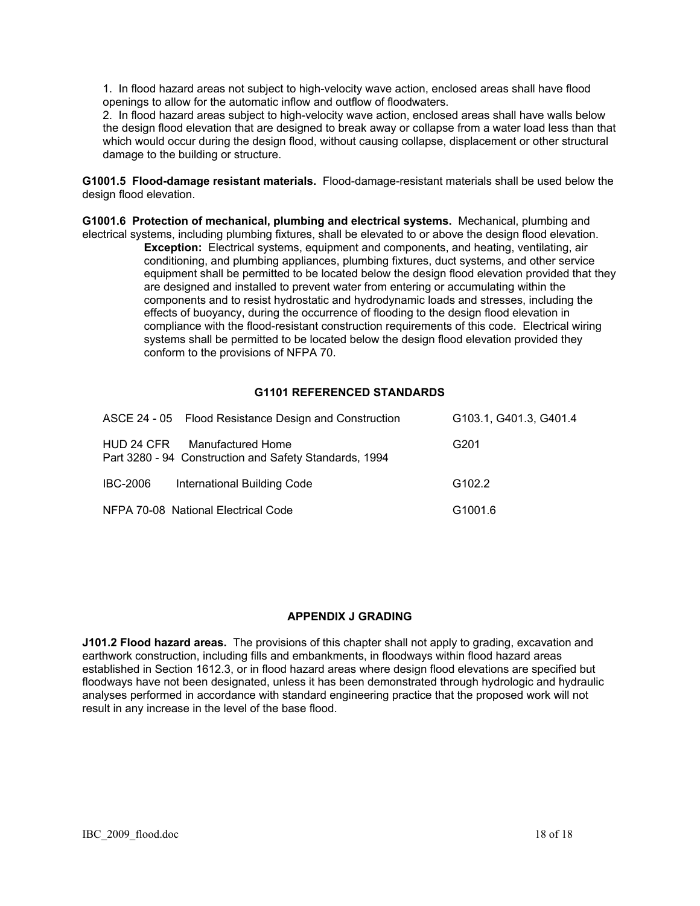1. In flood hazard areas not subject to high-velocity wave action, enclosed areas shall have flood openings to allow for the automatic inflow and outflow of floodwaters.

2. In flood hazard areas subject to high-velocity wave action, enclosed areas shall have walls below the design flood elevation that are designed to break away or collapse from a water load less than that which would occur during the design flood, without causing collapse, displacement or other structural damage to the building or structure.

**G1001.5 Flood-damage resistant materials.** Flood-damage-resistant materials shall be used below the design flood elevation.

**G1001.6 Protection of mechanical, plumbing and electrical systems.** Mechanical, plumbing and electrical systems, including plumbing fixtures, shall be elevated to or above the design flood elevation.

**Exception:** Electrical systems, equipment and components, and heating, ventilating, air conditioning, and plumbing appliances, plumbing fixtures, duct systems, and other service equipment shall be permitted to be located below the design flood elevation provided that they are designed and installed to prevent water from entering or accumulating within the components and to resist hydrostatic and hydrodynamic loads and stresses, including the effects of buoyancy, during the occurrence of flooding to the design flood elevation in compliance with the flood-resistant construction requirements of this code. Electrical wiring systems shall be permitted to be located below the design flood elevation provided they conform to the provisions of NFPA 70.

#### **G1101 REFERENCED STANDARDS**

|          | ASCE 24 - 05 Flood Resistance Design and Construction                                  | G103.1, G401.3, G401.4 |
|----------|----------------------------------------------------------------------------------------|------------------------|
|          | HUD 24 CFR Manufactured Home<br>Part 3280 - 94 Construction and Safety Standards, 1994 | G <sub>201</sub>       |
| IBC-2006 | International Building Code                                                            | G <sub>102.2</sub>     |
|          | NFPA 70-08 National Electrical Code                                                    | G1001.6                |

#### **APPENDIX J GRADING**

**J101.2 Flood hazard areas.** The provisions of this chapter shall not apply to grading, excavation and earthwork construction, including fills and embankments, in floodways within flood hazard areas established in Section 1612.3, or in flood hazard areas where design flood elevations are specified but floodways have not been designated, unless it has been demonstrated through hydrologic and hydraulic analyses performed in accordance with standard engineering practice that the proposed work will not result in any increase in the level of the base flood.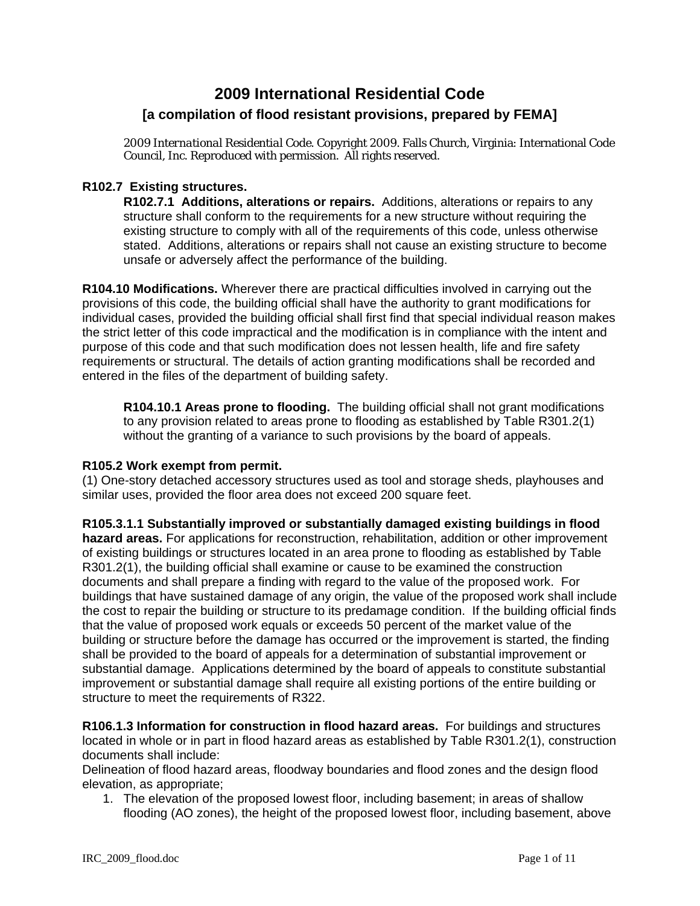# **2009 International Residential Code [a compilation of flood resistant provisions, prepared by FEMA]**

*2009 International Residential Code*. Copyright 2009. Falls Church, Virginia: International Code Council, Inc. Reproduced with permission. All rights reserved.

## **R102.7 Existing structures.**

**R102.7.1 Additions, alterations or repairs.** Additions, alterations or repairs to any structure shall conform to the requirements for a new structure without requiring the existing structure to comply with all of the requirements of this code, unless otherwise stated. Additions, alterations or repairs shall not cause an existing structure to become unsafe or adversely affect the performance of the building.

**R104.10 Modifications.** Wherever there are practical difficulties involved in carrying out the provisions of this code, the building official shall have the authority to grant modifications for individual cases, provided the building official shall first find that special individual reason makes the strict letter of this code impractical and the modification is in compliance with the intent and purpose of this code and that such modification does not lessen health, life and fire safety requirements or structural. The details of action granting modifications shall be recorded and entered in the files of the department of building safety.

**R104.10.1 Areas prone to flooding.** The building official shall not grant modifications to any provision related to areas prone to flooding as established by Table R301.2(1) without the granting of a variance to such provisions by the board of appeals.

## **R105.2 Work exempt from permit.**

(1) One-story detached accessory structures used as tool and storage sheds, playhouses and similar uses, provided the floor area does not exceed 200 square feet.

**R105.3.1.1 Substantially improved or substantially damaged existing buildings in flood** 

**hazard areas.** For applications for reconstruction, rehabilitation, addition or other improvement of existing buildings or structures located in an area prone to flooding as established by Table R301.2(1), the building official shall examine or cause to be examined the construction documents and shall prepare a finding with regard to the value of the proposed work. For buildings that have sustained damage of any origin, the value of the proposed work shall include the cost to repair the building or structure to its predamage condition. If the building official finds that the value of proposed work equals or exceeds 50 percent of the market value of the building or structure before the damage has occurred or the improvement is started, the finding shall be provided to the board of appeals for a determination of substantial improvement or substantial damage. Applications determined by the board of appeals to constitute substantial improvement or substantial damage shall require all existing portions of the entire building or structure to meet the requirements of R322.

**R106.1.3 Information for construction in flood hazard areas.** For buildings and structures located in whole or in part in flood hazard areas as established by Table R301.2(1), construction documents shall include:

Delineation of flood hazard areas, floodway boundaries and flood zones and the design flood elevation, as appropriate;

1. The elevation of the proposed lowest floor, including basement; in areas of shallow flooding (AO zones), the height of the proposed lowest floor, including basement, above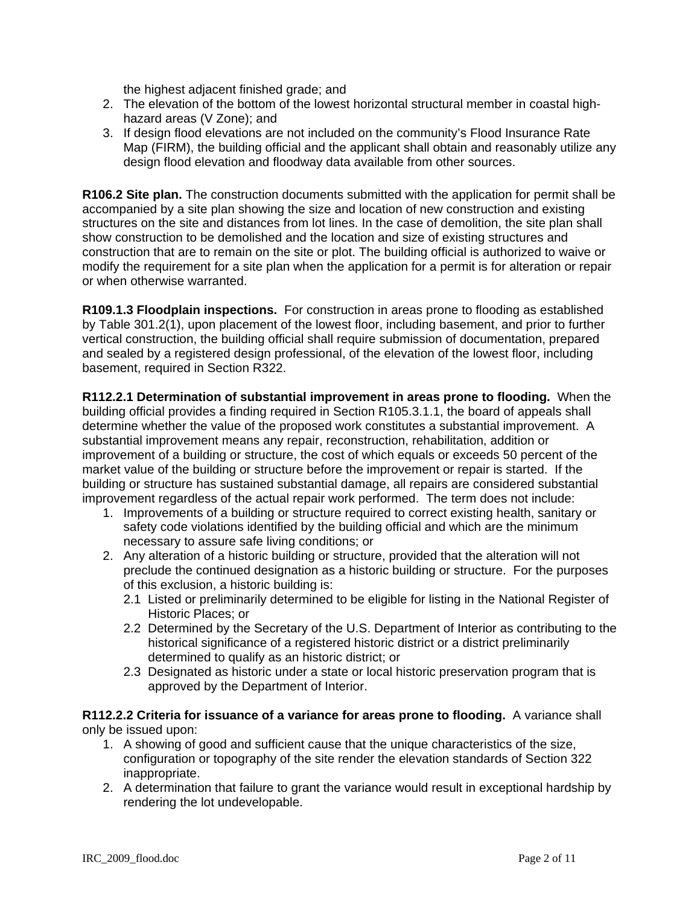the highest adjacent finished grade; and

- 2. The elevation of the bottom of the lowest horizontal structural member in coastal highhazard areas (V Zone); and
- 3. If design flood elevations are not included on the community's Flood Insurance Rate Map (FIRM), the building official and the applicant shall obtain and reasonably utilize any design flood elevation and floodway data available from other sources.

**R106.2 Site plan.** The construction documents submitted with the application for permit shall be accompanied by a site plan showing the size and location of new construction and existing structures on the site and distances from lot lines. In the case of demolition, the site plan shall show construction to be demolished and the location and size of existing structures and construction that are to remain on the site or plot. The building official is authorized to waive or modify the requirement for a site plan when the application for a permit is for alteration or repair or when otherwise warranted.

**R109.1.3 Floodplain inspections.** For construction in areas prone to flooding as established by Table 301.2(1), upon placement of the lowest floor, including basement, and prior to further vertical construction, the building official shall require submission of documentation, prepared and sealed by a registered design professional, of the elevation of the lowest floor, including basement, required in Section R322.

**R112.2.1 Determination of substantial improvement in areas prone to flooding.** When the building official provides a finding required in Section R105.3.1.1, the board of appeals shall determine whether the value of the proposed work constitutes a substantial improvement. A substantial improvement means any repair, reconstruction, rehabilitation, addition or improvement of a building or structure, the cost of which equals or exceeds 50 percent of the market value of the building or structure before the improvement or repair is started. If the building or structure has sustained substantial damage, all repairs are considered substantial improvement regardless of the actual repair work performed. The term does not include:

- 1. Improvements of a building or structure required to correct existing health, sanitary or safety code violations identified by the building official and which are the minimum necessary to assure safe living conditions; or
- 2. Any alteration of a historic building or structure, provided that the alteration will not preclude the continued designation as a historic building or structure. For the purposes of this exclusion, a historic building is:
	- 2.1 Listed or preliminarily determined to be eligible for listing in the National Register of Historic Places; or
	- 2.2 Determined by the Secretary of the U.S. Department of Interior as contributing to the historical significance of a registered historic district or a district preliminarily determined to qualify as an historic district; or
	- 2.3 Designated as historic under a state or local historic preservation program that is approved by the Department of Interior.

**R112.2.2 Criteria for issuance of a variance for areas prone to flooding.** A variance shall only be issued upon:

- 1. A showing of good and sufficient cause that the unique characteristics of the size, configuration or topography of the site render the elevation standards of Section 322 inappropriate.
- 2. A determination that failure to grant the variance would result in exceptional hardship by rendering the lot undevelopable.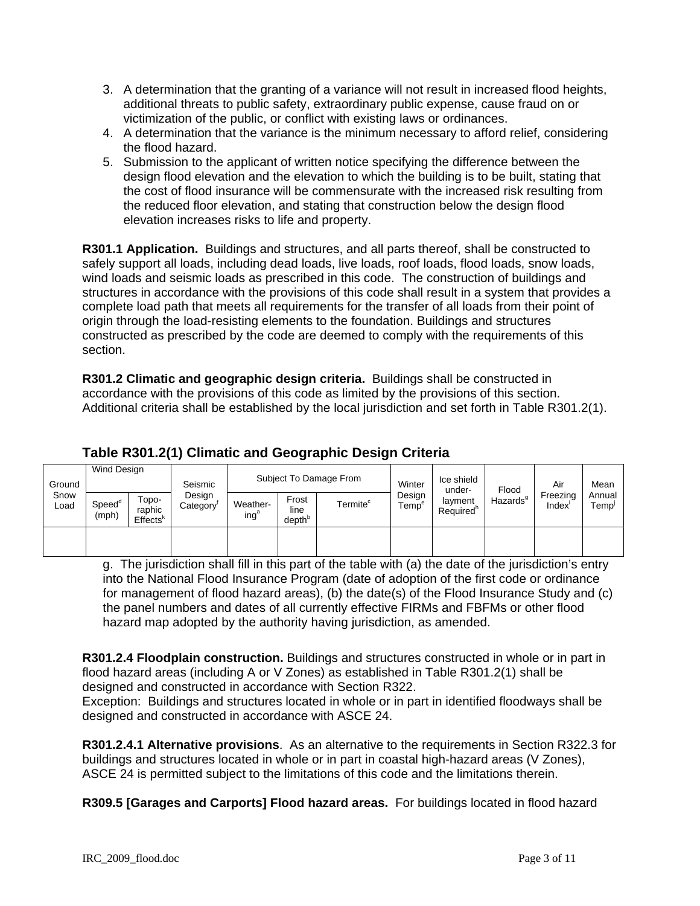- 3. A determination that the granting of a variance will not result in increased flood heights, additional threats to public safety, extraordinary public expense, cause fraud on or victimization of the public, or conflict with existing laws or ordinances.
- 4. A determination that the variance is the minimum necessary to afford relief, considering the flood hazard.
- 5. Submission to the applicant of written notice specifying the difference between the design flood elevation and the elevation to which the building is to be built, stating that the cost of flood insurance will be commensurate with the increased risk resulting from the reduced floor elevation, and stating that construction below the design flood elevation increases risks to life and property.

**R301.1 Application.** Buildings and structures, and all parts thereof, shall be constructed to safely support all loads, including dead loads, live loads, roof loads, flood loads, snow loads, wind loads and seismic loads as prescribed in this code. The construction of buildings and structures in accordance with the provisions of this code shall result in a system that provides a complete load path that meets all requirements for the transfer of all loads from their point of origin through the load-resisting elements to the foundation. Buildings and structures constructed as prescribed by the code are deemed to comply with the requirements of this section.

**R301.2 Climatic and geographic design criteria.** Buildings shall be constructed in accordance with the provisions of this code as limited by the provisions of this section. Additional criteria shall be established by the local jurisdiction and set forth in Table R301.2(1).

| Ground<br>Snow<br>Load | Wind Design                 |                                                         | Seismic                         | Subject To Damage From       |                                     |                      | Winter                      | Ice shield<br>under-             | Flood                | Air               | Mean                        |
|------------------------|-----------------------------|---------------------------------------------------------|---------------------------------|------------------------------|-------------------------------------|----------------------|-----------------------------|----------------------------------|----------------------|-------------------|-----------------------------|
|                        | Speed <sup>d</sup><br>(mph) | Topo-<br>raphic<br>$E$ ffects <sup><math>k</math></sup> | Design<br>Category <sup>'</sup> | Weather-<br>ing <sup>a</sup> | Frost<br>line<br>deoth <sup>b</sup> | Termite <sup>c</sup> | Design<br>Temp <sup>®</sup> | layment<br>Required <sup>n</sup> | Hazards <sup>9</sup> | Freezing<br>Index | Annual<br>Temp <sup>'</sup> |
|                        |                             |                                                         |                                 |                              |                                     |                      |                             |                                  |                      |                   |                             |

# **Table R301.2(1) Climatic and Geographic Design Criteria**

g. The jurisdiction shall fill in this part of the table with (a) the date of the jurisdiction's entry into the National Flood Insurance Program (date of adoption of the first code or ordinance for management of flood hazard areas), (b) the date(s) of the Flood Insurance Study and (c) the panel numbers and dates of all currently effective FIRMs and FBFMs or other flood hazard map adopted by the authority having jurisdiction, as amended.

**R301.2.4 Floodplain construction.** Buildings and structures constructed in whole or in part in flood hazard areas (including A or V Zones) as established in Table R301.2(1) shall be designed and constructed in accordance with Section R322.

Exception: Buildings and structures located in whole or in part in identified floodways shall be designed and constructed in accordance with ASCE 24.

**R301.2.4.1 Alternative provisions**. As an alternative to the requirements in Section R322.3 for buildings and structures located in whole or in part in coastal high-hazard areas (V Zones), ASCE 24 is permitted subject to the limitations of this code and the limitations therein.

**R309.5 [Garages and Carports] Flood hazard areas.** For buildings located in flood hazard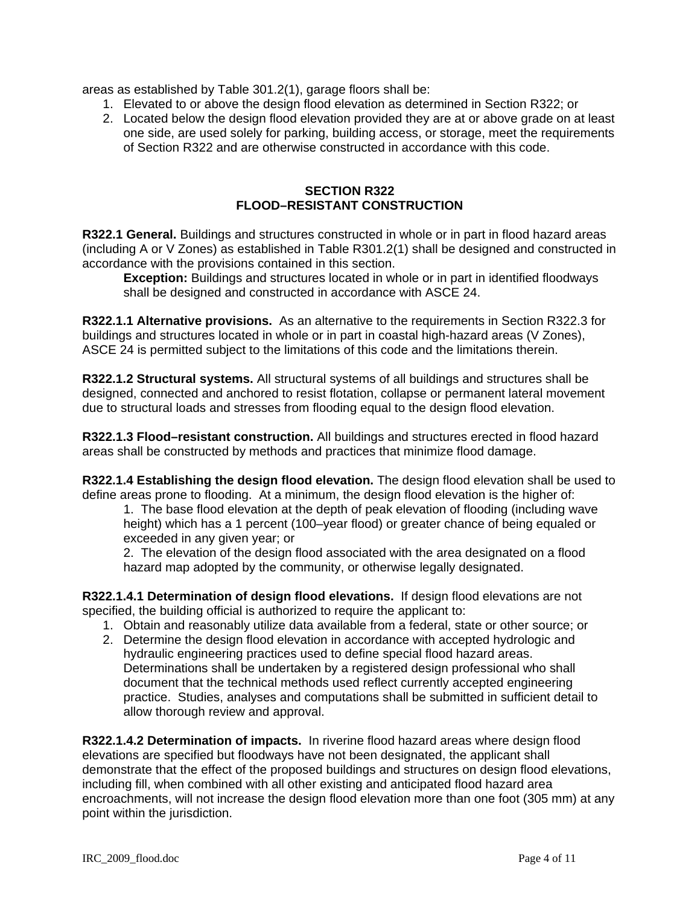areas as established by Table 301.2(1), garage floors shall be:

- 1. Elevated to or above the design flood elevation as determined in Section R322; or
- 2. Located below the design flood elevation provided they are at or above grade on at least one side, are used solely for parking, building access, or storage, meet the requirements of Section R322 and are otherwise constructed in accordance with this code.

## **SECTION R322 FLOOD–RESISTANT CONSTRUCTION**

**R322.1 General.** Buildings and structures constructed in whole or in part in flood hazard areas (including A or V Zones) as established in Table R301.2(1) shall be designed and constructed in accordance with the provisions contained in this section.

**Exception:** Buildings and structures located in whole or in part in identified floodways shall be designed and constructed in accordance with ASCE 24.

**R322.1.1 Alternative provisions.** As an alternative to the requirements in Section R322.3 for buildings and structures located in whole or in part in coastal high-hazard areas (V Zones), ASCE 24 is permitted subject to the limitations of this code and the limitations therein.

**R322.1.2 Structural systems.** All structural systems of all buildings and structures shall be designed, connected and anchored to resist flotation, collapse or permanent lateral movement due to structural loads and stresses from flooding equal to the design flood elevation.

**R322.1.3 Flood–resistant construction.** All buildings and structures erected in flood hazard areas shall be constructed by methods and practices that minimize flood damage.

**R322.1.4 Establishing the design flood elevation.** The design flood elevation shall be used to define areas prone to flooding. At a minimum, the design flood elevation is the higher of:

1. The base flood elevation at the depth of peak elevation of flooding (including wave height) which has a 1 percent (100–year flood) or greater chance of being equaled or exceeded in any given year; or

2. The elevation of the design flood associated with the area designated on a flood hazard map adopted by the community, or otherwise legally designated.

**R322.1.4.1 Determination of design flood elevations.** If design flood elevations are not specified, the building official is authorized to require the applicant to:

- 1. Obtain and reasonably utilize data available from a federal, state or other source; or
- 2. Determine the design flood elevation in accordance with accepted hydrologic and hydraulic engineering practices used to define special flood hazard areas. Determinations shall be undertaken by a registered design professional who shall document that the technical methods used reflect currently accepted engineering practice. Studies, analyses and computations shall be submitted in sufficient detail to allow thorough review and approval.

**R322.1.4.2 Determination of impacts.** In riverine flood hazard areas where design flood elevations are specified but floodways have not been designated, the applicant shall demonstrate that the effect of the proposed buildings and structures on design flood elevations, including fill, when combined with all other existing and anticipated flood hazard area encroachments, will not increase the design flood elevation more than one foot (305 mm) at any point within the jurisdiction.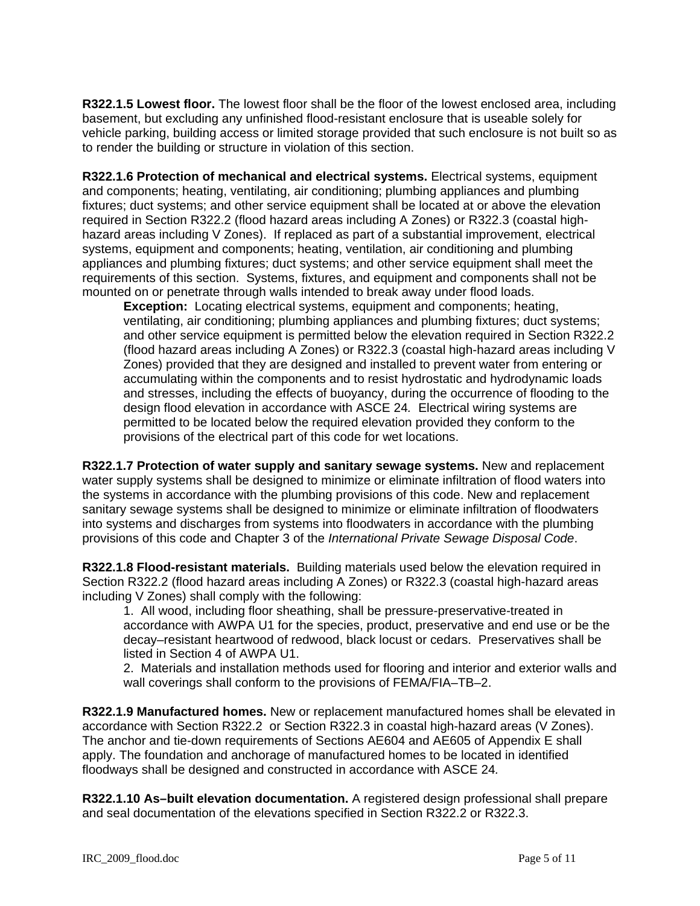**R322.1.5 Lowest floor.** The lowest floor shall be the floor of the lowest enclosed area, including basement, but excluding any unfinished flood-resistant enclosure that is useable solely for vehicle parking, building access or limited storage provided that such enclosure is not built so as to render the building or structure in violation of this section.

**R322.1.6 Protection of mechanical and electrical systems.** Electrical systems, equipment and components; heating, ventilating, air conditioning; plumbing appliances and plumbing fixtures; duct systems; and other service equipment shall be located at or above the elevation required in Section R322.2 (flood hazard areas including A Zones) or R322.3 (coastal highhazard areas including V Zones). If replaced as part of a substantial improvement, electrical systems, equipment and components; heating, ventilation, air conditioning and plumbing appliances and plumbing fixtures; duct systems; and other service equipment shall meet the requirements of this section. Systems, fixtures, and equipment and components shall not be mounted on or penetrate through walls intended to break away under flood loads.

**Exception:** Locating electrical systems, equipment and components; heating, ventilating, air conditioning; plumbing appliances and plumbing fixtures; duct systems; and other service equipment is permitted below the elevation required in Section R322.2 (flood hazard areas including A Zones) or R322.3 (coastal high-hazard areas including V Zones) provided that they are designed and installed to prevent water from entering or accumulating within the components and to resist hydrostatic and hydrodynamic loads and stresses, including the effects of buoyancy, during the occurrence of flooding to the design flood elevation in accordance with ASCE 24*.* Electrical wiring systems are permitted to be located below the required elevation provided they conform to the provisions of the electrical part of this code for wet locations.

**R322.1.7 Protection of water supply and sanitary sewage systems.** New and replacement water supply systems shall be designed to minimize or eliminate infiltration of flood waters into the systems in accordance with the plumbing provisions of this code. New and replacement sanitary sewage systems shall be designed to minimize or eliminate infiltration of floodwaters into systems and discharges from systems into floodwaters in accordance with the plumbing provisions of this code and Chapter 3 of the *International Private Sewage Disposal Code*.

**R322.1.8 Flood-resistant materials.** Building materials used below the elevation required in Section R322.2 (flood hazard areas including A Zones) or R322.3 (coastal high-hazard areas including V Zones) shall comply with the following:

1. All wood, including floor sheathing, shall be pressure-preservative-treated in accordance with AWPA U1 for the species, product, preservative and end use or be the decay–resistant heartwood of redwood, black locust or cedars. Preservatives shall be listed in Section 4 of AWPA U1.

2. Materials and installation methods used for flooring and interior and exterior walls and wall coverings shall conform to the provisions of FEMA/FIA–TB–2.

**R322.1.9 Manufactured homes.** New or replacement manufactured homes shall be elevated in accordance with Section R322.2 or Section R322.3 in coastal high-hazard areas (V Zones). The anchor and tie-down requirements of Sections AE604 and AE605 of Appendix E shall apply. The foundation and anchorage of manufactured homes to be located in identified floodways shall be designed and constructed in accordance with ASCE 24*.*

**R322.1.10 As–built elevation documentation.** A registered design professional shall prepare and seal documentation of the elevations specified in Section R322.2 or R322.3.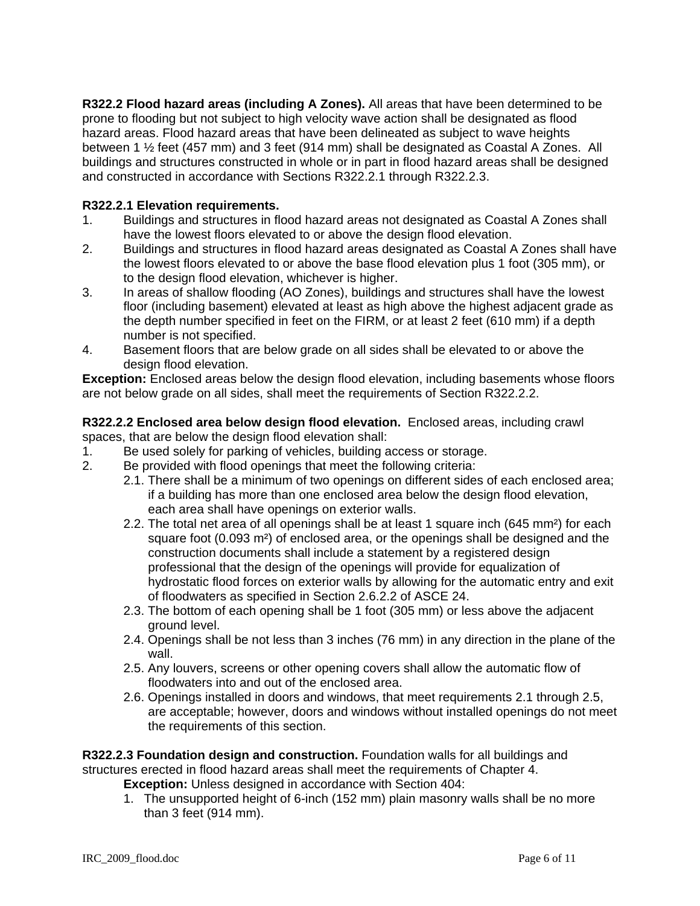**R322.2 Flood hazard areas (including A Zones).** All areas that have been determined to be prone to flooding but not subject to high velocity wave action shall be designated as flood hazard areas. Flood hazard areas that have been delineated as subject to wave heights between 1 ½ feet (457 mm) and 3 feet (914 mm) shall be designated as Coastal A Zones. All buildings and structures constructed in whole or in part in flood hazard areas shall be designed and constructed in accordance with Sections R322.2.1 through R322.2.3.

## **R322.2.1 Elevation requirements.**

- 1. Buildings and structures in flood hazard areas not designated as Coastal A Zones shall have the lowest floors elevated to or above the design flood elevation.
- 2. Buildings and structures in flood hazard areas designated as Coastal A Zones shall have the lowest floors elevated to or above the base flood elevation plus 1 foot (305 mm), or to the design flood elevation, whichever is higher.
- 3. In areas of shallow flooding (AO Zones), buildings and structures shall have the lowest floor (including basement) elevated at least as high above the highest adjacent grade as the depth number specified in feet on the FIRM, or at least 2 feet (610 mm) if a depth number is not specified.
- 4. Basement floors that are below grade on all sides shall be elevated to or above the design flood elevation.

**Exception:** Enclosed areas below the design flood elevation, including basements whose floors are not below grade on all sides, shall meet the requirements of Section R322.2.2.

 **R322.2.2 Enclosed area below design flood elevation.** Enclosed areas, including crawl spaces, that are below the design flood elevation shall:

- 1. Be used solely for parking of vehicles, building access or storage.
- 2. Be provided with flood openings that meet the following criteria:
	- 2.1. There shall be a minimum of two openings on different sides of each enclosed area; if a building has more than one enclosed area below the design flood elevation, each area shall have openings on exterior walls.
	- 2.2. The total net area of all openings shall be at least 1 square inch (645 mm²) for each square foot (0.093 m<sup>2</sup>) of enclosed area, or the openings shall be designed and the construction documents shall include a statement by a registered design professional that the design of the openings will provide for equalization of hydrostatic flood forces on exterior walls by allowing for the automatic entry and exit of floodwaters as specified in Section 2.6.2.2 of ASCE 24.
	- 2.3. The bottom of each opening shall be 1 foot (305 mm) or less above the adjacent ground level.
	- 2.4. Openings shall be not less than 3 inches (76 mm) in any direction in the plane of the wall.
	- 2.5. Any louvers, screens or other opening covers shall allow the automatic flow of floodwaters into and out of the enclosed area.
	- 2.6. Openings installed in doors and windows, that meet requirements 2.1 through 2.5, are acceptable; however, doors and windows without installed openings do not meet the requirements of this section.

 **R322.2.3 Foundation design and construction.** Foundation walls for all buildings and structures erected in flood hazard areas shall meet the requirements of Chapter 4.

- **Exception:** Unless designed in accordance with Section 404:
- 1. The unsupported height of 6-inch (152 mm) plain masonry walls shall be no more than 3 feet (914 mm).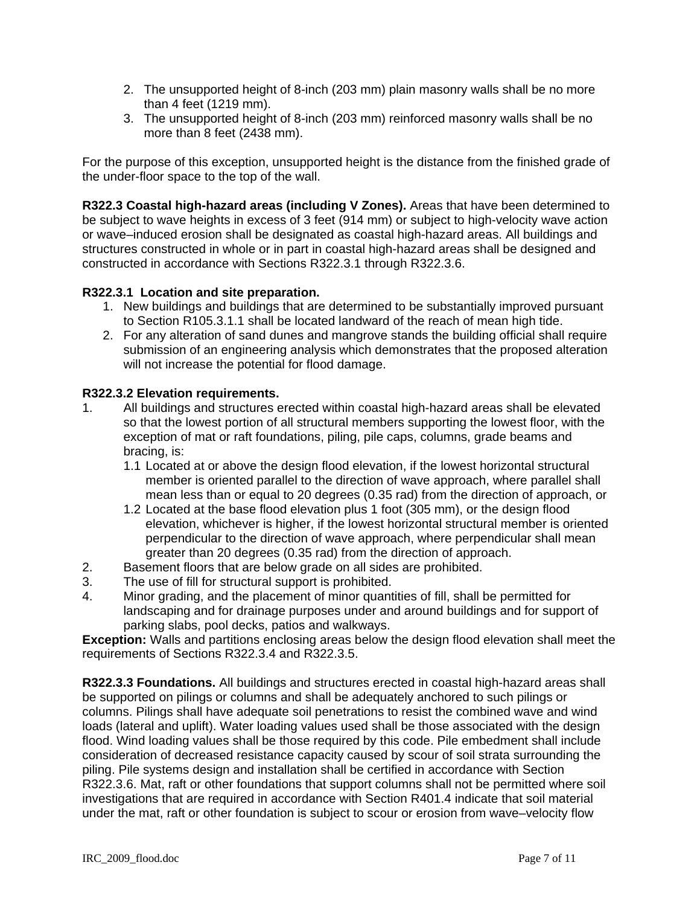- 2. The unsupported height of 8-inch (203 mm) plain masonry walls shall be no more than 4 feet (1219 mm).
- 3. The unsupported height of 8-inch (203 mm) reinforced masonry walls shall be no more than 8 feet (2438 mm).

For the purpose of this exception, unsupported height is the distance from the finished grade of the under-floor space to the top of the wall.

**R322.3 Coastal high-hazard areas (including V Zones).** Areas that have been determined to be subject to wave heights in excess of 3 feet (914 mm) or subject to high-velocity wave action or wave–induced erosion shall be designated as coastal high-hazard areas. All buildings and structures constructed in whole or in part in coastal high-hazard areas shall be designed and constructed in accordance with Sections R322.3.1 through R322.3.6.

## **R322.3.1 Location and site preparation.**

- 1. New buildings and buildings that are determined to be substantially improved pursuant to Section R105.3.1.1 shall be located landward of the reach of mean high tide.
- 2. For any alteration of sand dunes and mangrove stands the building official shall require submission of an engineering analysis which demonstrates that the proposed alteration will not increase the potential for flood damage.

## **R322.3.2 Elevation requirements.**

- 1. All buildings and structures erected within coastal high-hazard areas shall be elevated so that the lowest portion of all structural members supporting the lowest floor, with the exception of mat or raft foundations, piling, pile caps, columns, grade beams and bracing, is:
	- 1.1 Located at or above the design flood elevation, if the lowest horizontal structural member is oriented parallel to the direction of wave approach, where parallel shall mean less than or equal to 20 degrees (0.35 rad) from the direction of approach, or
	- 1.2 Located at the base flood elevation plus 1 foot (305 mm), or the design flood elevation, whichever is higher, if the lowest horizontal structural member is oriented perpendicular to the direction of wave approach, where perpendicular shall mean greater than 20 degrees (0.35 rad) from the direction of approach.
- 2. Basement floors that are below grade on all sides are prohibited.
- 3. The use of fill for structural support is prohibited.
- 4. Minor grading, and the placement of minor quantities of fill, shall be permitted for landscaping and for drainage purposes under and around buildings and for support of parking slabs, pool decks, patios and walkways.

 **Exception:** Walls and partitions enclosing areas below the design flood elevation shall meet the requirements of Sections R322.3.4 and R322.3.5.

 **R322.3.3 Foundations.** All buildings and structures erected in coastal high-hazard areas shall be supported on pilings or columns and shall be adequately anchored to such pilings or columns. Pilings shall have adequate soil penetrations to resist the combined wave and wind loads (lateral and uplift). Water loading values used shall be those associated with the design flood. Wind loading values shall be those required by this code. Pile embedment shall include consideration of decreased resistance capacity caused by scour of soil strata surrounding the piling. Pile systems design and installation shall be certified in accordance with Section R322.3.6. Mat, raft or other foundations that support columns shall not be permitted where soil investigations that are required in accordance with Section R401.4 indicate that soil material under the mat, raft or other foundation is subject to scour or erosion from wave–velocity flow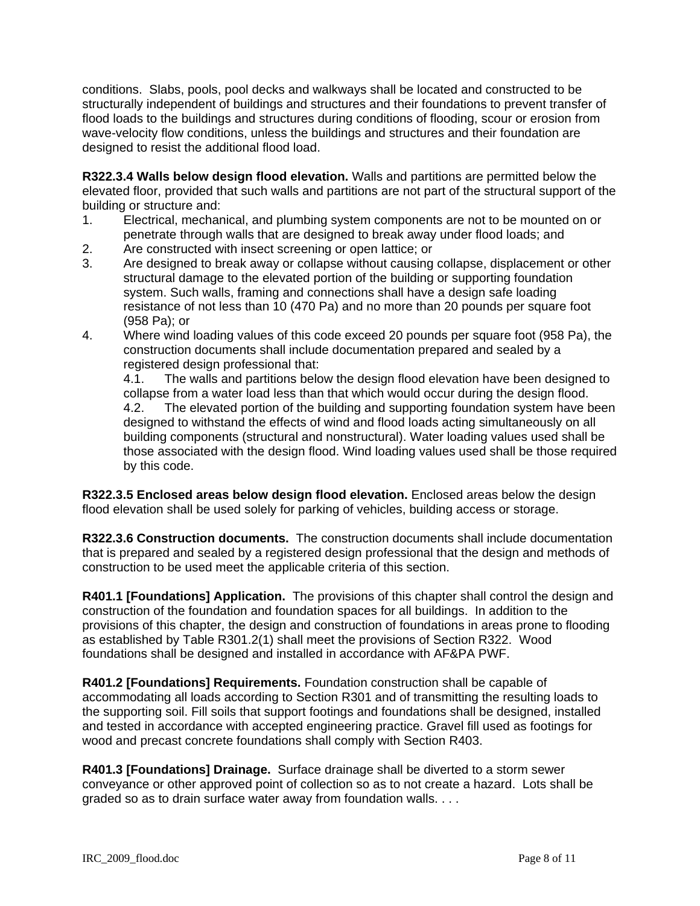conditions. Slabs, pools, pool decks and walkways shall be located and constructed to be structurally independent of buildings and structures and their foundations to prevent transfer of flood loads to the buildings and structures during conditions of flooding, scour or erosion from wave-velocity flow conditions, unless the buildings and structures and their foundation are designed to resist the additional flood load.

**R322.3.4 Walls below design flood elevation.** Walls and partitions are permitted below the elevated floor, provided that such walls and partitions are not part of the structural support of the building or structure and:

- 1. Electrical, mechanical, and plumbing system components are not to be mounted on or penetrate through walls that are designed to break away under flood loads; and
- 2. Are constructed with insect screening or open lattice; or
- 3. Are designed to break away or collapse without causing collapse, displacement or other structural damage to the elevated portion of the building or supporting foundation system. Such walls, framing and connections shall have a design safe loading resistance of not less than 10 (470 Pa) and no more than 20 pounds per square foot (958 Pa); or
- 4. Where wind loading values of this code exceed 20 pounds per square foot (958 Pa), the construction documents shall include documentation prepared and sealed by a registered design professional that:

4.1. The walls and partitions below the design flood elevation have been designed to collapse from a water load less than that which would occur during the design flood. 4.2. The elevated portion of the building and supporting foundation system have been designed to withstand the effects of wind and flood loads acting simultaneously on all building components (structural and nonstructural). Water loading values used shall be those associated with the design flood. Wind loading values used shall be those required by this code.

**R322.3.5 Enclosed areas below design flood elevation.** Enclosed areas below the design flood elevation shall be used solely for parking of vehicles, building access or storage.

**R322.3.6 Construction documents.** The construction documents shall include documentation that is prepared and sealed by a registered design professional that the design and methods of construction to be used meet the applicable criteria of this section.

**R401.1 [Foundations] Application.** The provisions of this chapter shall control the design and construction of the foundation and foundation spaces for all buildings. In addition to the provisions of this chapter, the design and construction of foundations in areas prone to flooding as established by Table R301.2(1) shall meet the provisions of Section R322. Wood foundations shall be designed and installed in accordance with AF&PA PWF.

**R401.2 [Foundations] Requirements.** Foundation construction shall be capable of accommodating all loads according to Section R301 and of transmitting the resulting loads to the supporting soil. Fill soils that support footings and foundations shall be designed, installed and tested in accordance with accepted engineering practice. Gravel fill used as footings for wood and precast concrete foundations shall comply with Section R403.

**R401.3 [Foundations] Drainage.** Surface drainage shall be diverted to a storm sewer conveyance or other approved point of collection so as to not create a hazard. Lots shall be graded so as to drain surface water away from foundation walls. . . .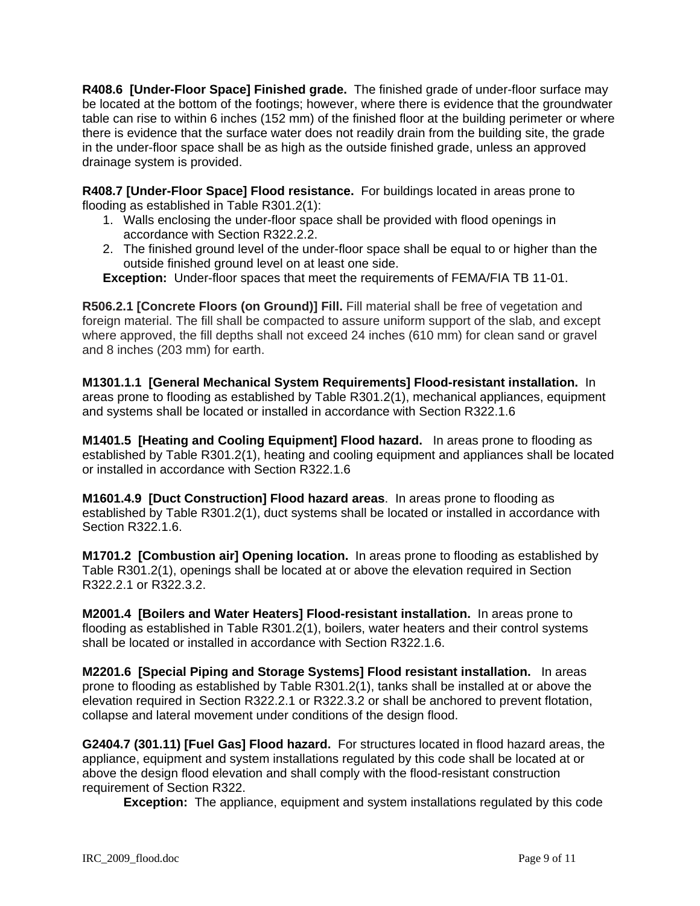**R408.6 [Under-Floor Space] Finished grade.** The finished grade of under-floor surface may be located at the bottom of the footings; however, where there is evidence that the groundwater table can rise to within 6 inches (152 mm) of the finished floor at the building perimeter or where there is evidence that the surface water does not readily drain from the building site, the grade in the under-floor space shall be as high as the outside finished grade, unless an approved drainage system is provided.

**R408.7 [Under-Floor Space] Flood resistance.** For buildings located in areas prone to flooding as established in Table R301.2(1):

- 1. Walls enclosing the under-floor space shall be provided with flood openings in accordance with Section R322.2.2.
- 2. The finished ground level of the under-floor space shall be equal to or higher than the outside finished ground level on at least one side.

**Exception:** Under-floor spaces that meet the requirements of FEMA/FIA TB 11-01.

**R506.2.1 [Concrete Floors (on Ground)] Fill.** Fill material shall be free of vegetation and foreign material. The fill shall be compacted to assure uniform support of the slab, and except where approved, the fill depths shall not exceed 24 inches (610 mm) for clean sand or gravel and 8 inches (203 mm) for earth.

**M1301.1.1 [General Mechanical System Requirements] Flood-resistant installation.** In areas prone to flooding as established by Table R301.2(1), mechanical appliances, equipment and systems shall be located or installed in accordance with Section R322.1.6

**M1401.5 [Heating and Cooling Equipment] Flood hazard.** In areas prone to flooding as established by Table R301.2(1), heating and cooling equipment and appliances shall be located or installed in accordance with Section R322.1.6

**M1601.4.9 [Duct Construction] Flood hazard areas**. In areas prone to flooding as established by Table R301.2(1), duct systems shall be located or installed in accordance with Section R322.1.6.

**M1701.2 [Combustion air] Opening location.** In areas prone to flooding as established by Table R301.2(1), openings shall be located at or above the elevation required in Section R322.2.1 or R322.3.2.

**M2001.4 [Boilers and Water Heaters] Flood-resistant installation.** In areas prone to flooding as established in Table R301.2(1), boilers, water heaters and their control systems shall be located or installed in accordance with Section R322.1.6.

**M2201.6 [Special Piping and Storage Systems] Flood resistant installation.** In areas prone to flooding as established by Table R301.2(1), tanks shall be installed at or above the elevation required in Section R322.2.1 or R322.3.2 or shall be anchored to prevent flotation, collapse and lateral movement under conditions of the design flood.

**G2404.7 (301.11) [Fuel Gas] Flood hazard.** For structures located in flood hazard areas, the appliance, equipment and system installations regulated by this code shall be located at or above the design flood elevation and shall comply with the flood-resistant construction requirement of Section R322.

**Exception:** The appliance, equipment and system installations regulated by this code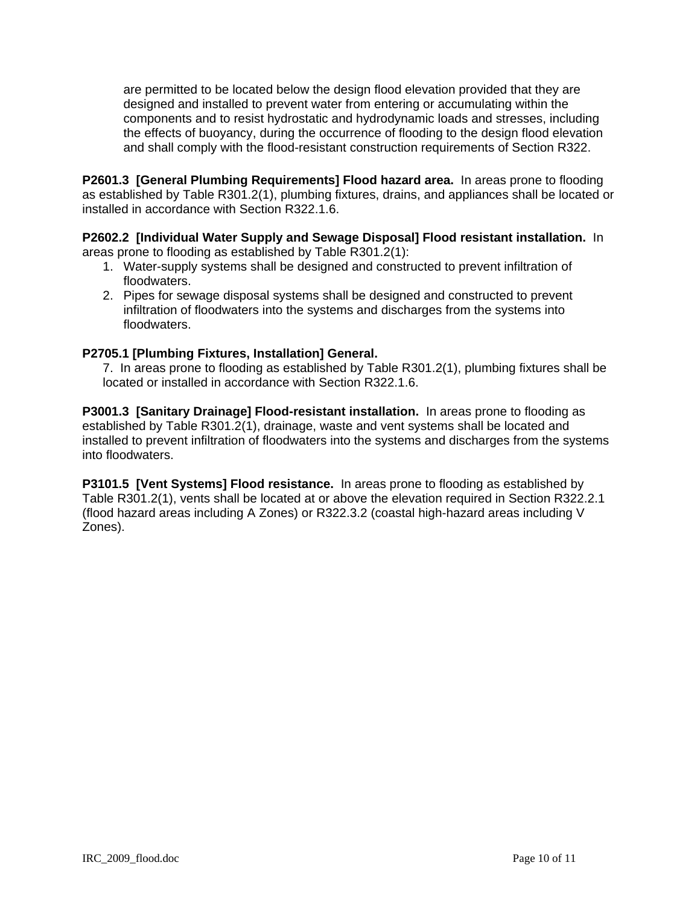are permitted to be located below the design flood elevation provided that they are designed and installed to prevent water from entering or accumulating within the components and to resist hydrostatic and hydrodynamic loads and stresses, including the effects of buoyancy, during the occurrence of flooding to the design flood elevation and shall comply with the flood-resistant construction requirements of Section R322.

**P2601.3 [General Plumbing Requirements] Flood hazard area.** In areas prone to flooding as established by Table R301.2(1), plumbing fixtures, drains, and appliances shall be located or installed in accordance with Section R322.1.6.

**P2602.2 [Individual Water Supply and Sewage Disposal] Flood resistant installation.** In areas prone to flooding as established by Table R301.2(1):

- 1. Water-supply systems shall be designed and constructed to prevent infiltration of floodwaters.
- 2. Pipes for sewage disposal systems shall be designed and constructed to prevent infiltration of floodwaters into the systems and discharges from the systems into floodwaters.

## **P2705.1 [Plumbing Fixtures, Installation] General.**

7. In areas prone to flooding as established by Table R301.2(1), plumbing fixtures shall be located or installed in accordance with Section R322.1.6.

**P3001.3 [Sanitary Drainage] Flood-resistant installation.** In areas prone to flooding as established by Table R301.2(1), drainage, waste and vent systems shall be located and installed to prevent infiltration of floodwaters into the systems and discharges from the systems into floodwaters.

**P3101.5 [Vent Systems] Flood resistance.** In areas prone to flooding as established by Table R301.2(1), vents shall be located at or above the elevation required in Section R322.2.1 (flood hazard areas including A Zones) or R322.3.2 (coastal high-hazard areas including V Zones).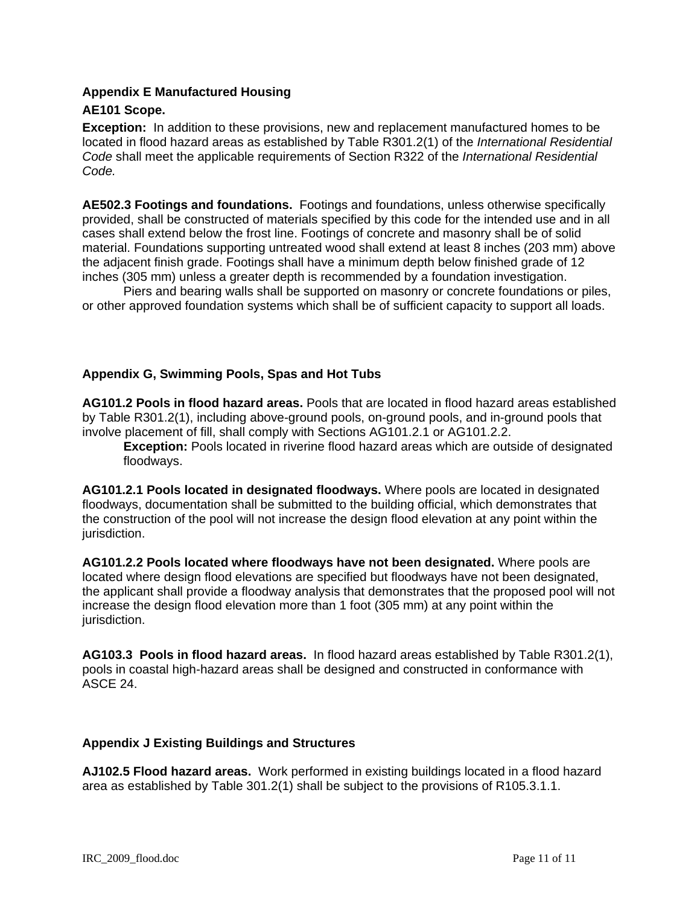## **Appendix E Manufactured Housing**

## **AE101 Scope.**

**Exception:** In addition to these provisions, new and replacement manufactured homes to be located in flood hazard areas as established by Table R301.2(1) of the *International Residential Code* shall meet the applicable requirements of Section R322 of the *International Residential Code.*

**AE502.3 Footings and foundations.** Footings and foundations, unless otherwise specifically provided, shall be constructed of materials specified by this code for the intended use and in all cases shall extend below the frost line. Footings of concrete and masonry shall be of solid material. Foundations supporting untreated wood shall extend at least 8 inches (203 mm) above the adjacent finish grade. Footings shall have a minimum depth below finished grade of 12 inches (305 mm) unless a greater depth is recommended by a foundation investigation.

Piers and bearing walls shall be supported on masonry or concrete foundations or piles, or other approved foundation systems which shall be of sufficient capacity to support all loads.

## **Appendix G, Swimming Pools, Spas and Hot Tubs**

**AG101.2 Pools in flood hazard areas.** Pools that are located in flood hazard areas established by Table R301.2(1), including above-ground pools, on-ground pools, and in-ground pools that involve placement of fill, shall comply with Sections AG101.2.1 or AG101.2.2.

**Exception:** Pools located in riverine flood hazard areas which are outside of designated floodways.

**AG101.2.1 Pools located in designated floodways.** Where pools are located in designated floodways, documentation shall be submitted to the building official, which demonstrates that the construction of the pool will not increase the design flood elevation at any point within the jurisdiction.

**AG101.2.2 Pools located where floodways have not been designated.** Where pools are located where design flood elevations are specified but floodways have not been designated, the applicant shall provide a floodway analysis that demonstrates that the proposed pool will not increase the design flood elevation more than 1 foot (305 mm) at any point within the jurisdiction.

**AG103.3 Pools in flood hazard areas.** In flood hazard areas established by Table R301.2(1), pools in coastal high-hazard areas shall be designed and constructed in conformance with ASCE 24.

## **Appendix J Existing Buildings and Structures**

**AJ102.5 Flood hazard areas.** Work performed in existing buildings located in a flood hazard area as established by Table 301.2(1) shall be subject to the provisions of R105.3.1.1.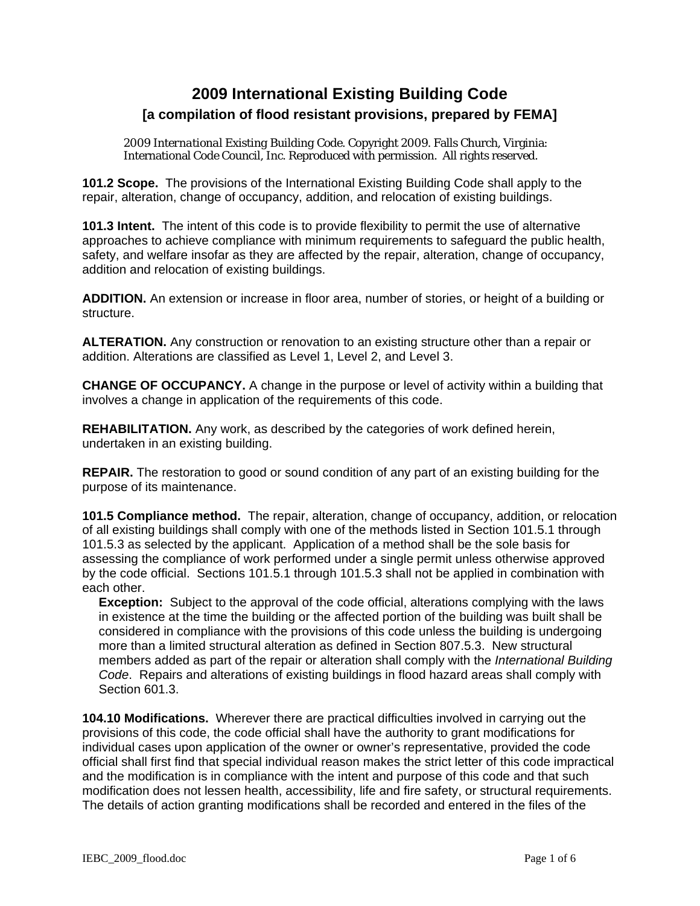# **2009 International Existing Building Code [a compilation of flood resistant provisions, prepared by FEMA]**

*2009 International Existing Building Code*. Copyright 2009. Falls Church, Virginia: International Code Council, Inc. Reproduced with permission. All rights reserved.

**101.2 Scope.** The provisions of the International Existing Building Code shall apply to the repair, alteration, change of occupancy, addition, and relocation of existing buildings.

**101.3 Intent.** The intent of this code is to provide flexibility to permit the use of alternative approaches to achieve compliance with minimum requirements to safeguard the public health, safety, and welfare insofar as they are affected by the repair, alteration, change of occupancy, addition and relocation of existing buildings.

**ADDITION.** An extension or increase in floor area, number of stories, or height of a building or structure.

**ALTERATION.** Any construction or renovation to an existing structure other than a repair or addition. Alterations are classified as Level 1, Level 2, and Level 3.

**CHANGE OF OCCUPANCY.** A change in the purpose or level of activity within a building that involves a change in application of the requirements of this code.

**REHABILITATION.** Any work, as described by the categories of work defined herein, undertaken in an existing building.

**REPAIR.** The restoration to good or sound condition of any part of an existing building for the purpose of its maintenance.

**101.5 Compliance method.** The repair, alteration, change of occupancy, addition, or relocation of all existing buildings shall comply with one of the methods listed in Section 101.5.1 through 101.5.3 as selected by the applicant. Application of a method shall be the sole basis for assessing the compliance of work performed under a single permit unless otherwise approved by the code official. Sections 101.5.1 through 101.5.3 shall not be applied in combination with each other.

**Exception:** Subject to the approval of the code official, alterations complying with the laws in existence at the time the building or the affected portion of the building was built shall be considered in compliance with the provisions of this code unless the building is undergoing more than a limited structural alteration as defined in Section 807.5.3. New structural members added as part of the repair or alteration shall comply with the *International Building Code*. Repairs and alterations of existing buildings in flood hazard areas shall comply with Section 601.3.

**104.10 Modifications.** Wherever there are practical difficulties involved in carrying out the provisions of this code, the code official shall have the authority to grant modifications for individual cases upon application of the owner or owner's representative, provided the code official shall first find that special individual reason makes the strict letter of this code impractical and the modification is in compliance with the intent and purpose of this code and that such modification does not lessen health, accessibility, life and fire safety, or structural requirements. The details of action granting modifications shall be recorded and entered in the files of the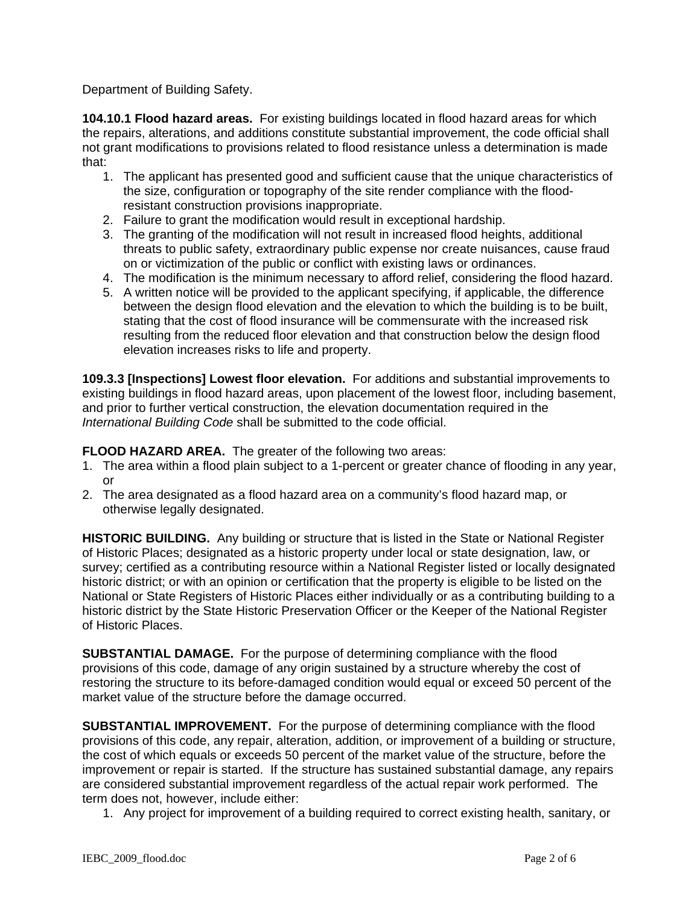Department of Building Safety.

**104.10.1 Flood hazard areas.** For existing buildings located in flood hazard areas for which the repairs, alterations, and additions constitute substantial improvement, the code official shall not grant modifications to provisions related to flood resistance unless a determination is made that:

- 1. The applicant has presented good and sufficient cause that the unique characteristics of the size, configuration or topography of the site render compliance with the floodresistant construction provisions inappropriate.
- 2. Failure to grant the modification would result in exceptional hardship.
- 3. The granting of the modification will not result in increased flood heights, additional threats to public safety, extraordinary public expense nor create nuisances, cause fraud on or victimization of the public or conflict with existing laws or ordinances.
- 4. The modification is the minimum necessary to afford relief, considering the flood hazard.
- 5. A written notice will be provided to the applicant specifying, if applicable, the difference between the design flood elevation and the elevation to which the building is to be built, stating that the cost of flood insurance will be commensurate with the increased risk resulting from the reduced floor elevation and that construction below the design flood elevation increases risks to life and property.

**109.3.3 [Inspections] Lowest floor elevation.** For additions and substantial improvements to existing buildings in flood hazard areas, upon placement of the lowest floor, including basement, and prior to further vertical construction, the elevation documentation required in the *International Building Code* shall be submitted to the code official.

## **FLOOD HAZARD AREA.** The greater of the following two areas:

- 1. The area within a flood plain subject to a 1-percent or greater chance of flooding in any year, or
- 2. The area designated as a flood hazard area on a community's flood hazard map, or otherwise legally designated.

**HISTORIC BUILDING.** Any building or structure that is listed in the State or National Register of Historic Places; designated as a historic property under local or state designation, law, or survey; certified as a contributing resource within a National Register listed or locally designated historic district; or with an opinion or certification that the property is eligible to be listed on the National or State Registers of Historic Places either individually or as a contributing building to a historic district by the State Historic Preservation Officer or the Keeper of the National Register of Historic Places.

**SUBSTANTIAL DAMAGE.** For the purpose of determining compliance with the flood provisions of this code, damage of any origin sustained by a structure whereby the cost of restoring the structure to its before-damaged condition would equal or exceed 50 percent of the market value of the structure before the damage occurred.

**SUBSTANTIAL IMPROVEMENT.** For the purpose of determining compliance with the flood provisions of this code, any repair, alteration, addition, or improvement of a building or structure, the cost of which equals or exceeds 50 percent of the market value of the structure, before the improvement or repair is started. If the structure has sustained substantial damage, any repairs are considered substantial improvement regardless of the actual repair work performed. The term does not, however, include either:

1. Any project for improvement of a building required to correct existing health, sanitary, or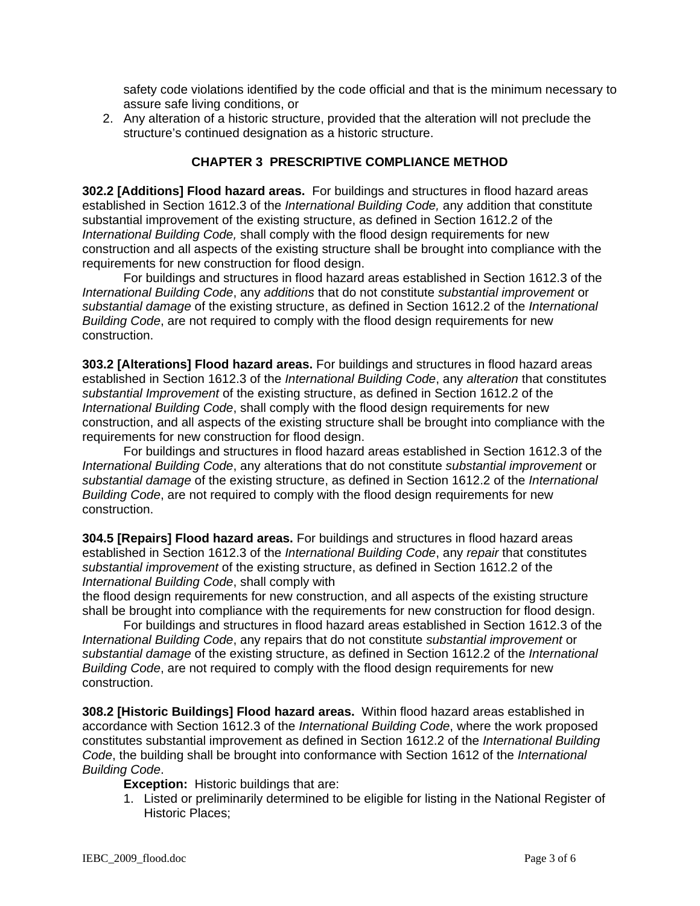safety code violations identified by the code official and that is the minimum necessary to assure safe living conditions, or

2. Any alteration of a historic structure, provided that the alteration will not preclude the structure's continued designation as a historic structure.

## **CHAPTER 3 PRESCRIPTIVE COMPLIANCE METHOD**

**302.2 [Additions] Flood hazard areas.** For buildings and structures in flood hazard areas established in Section 1612.3 of the *International Building Code,* any addition that constitute substantial improvement of the existing structure, as defined in Section 1612.2 of the *International Building Code,* shall comply with the flood design requirements for new construction and all aspects of the existing structure shall be brought into compliance with the requirements for new construction for flood design.

For buildings and structures in flood hazard areas established in Section 1612.3 of the *International Building Code*, any *additions* that do not constitute *substantial improvement* or *substantial damage* of the existing structure, as defined in Section 1612.2 of the *International Building Code*, are not required to comply with the flood design requirements for new construction.

**303.2 [Alterations] Flood hazard areas.** For buildings and structures in flood hazard areas established in Section 1612.3 of the *International Building Code*, any *alteration* that constitutes *substantial Improvement* of the existing structure, as defined in Section 1612.2 of the *International Building Code*, shall comply with the flood design requirements for new construction, and all aspects of the existing structure shall be brought into compliance with the requirements for new construction for flood design.

For buildings and structures in flood hazard areas established in Section 1612.3 of the *International Building Code*, any alterations that do not constitute *substantial improvement* or *substantial damage* of the existing structure, as defined in Section 1612.2 of the *International Building Code*, are not required to comply with the flood design requirements for new construction.

**304.5 [Repairs] Flood hazard areas.** For buildings and structures in flood hazard areas established in Section 1612.3 of the *International Building Code*, any *repair* that constitutes *substantial improvement* of the existing structure, as defined in Section 1612.2 of the *International Building Code*, shall comply with

the flood design requirements for new construction, and all aspects of the existing structure shall be brought into compliance with the requirements for new construction for flood design.

For buildings and structures in flood hazard areas established in Section 1612.3 of the *International Building Code*, any repairs that do not constitute *substantial improvement* or *substantial damage* of the existing structure, as defined in Section 1612.2 of the *International Building Code*, are not required to comply with the flood design requirements for new construction.

**308.2 [Historic Buildings] Flood hazard areas.** Within flood hazard areas established in accordance with Section 1612.3 of the *International Building Code*, where the work proposed constitutes substantial improvement as defined in Section 1612.2 of the *International Building Code*, the building shall be brought into conformance with Section 1612 of the *International Building Code*.

**Exception:** Historic buildings that are:

1. Listed or preliminarily determined to be eligible for listing in the National Register of Historic Places;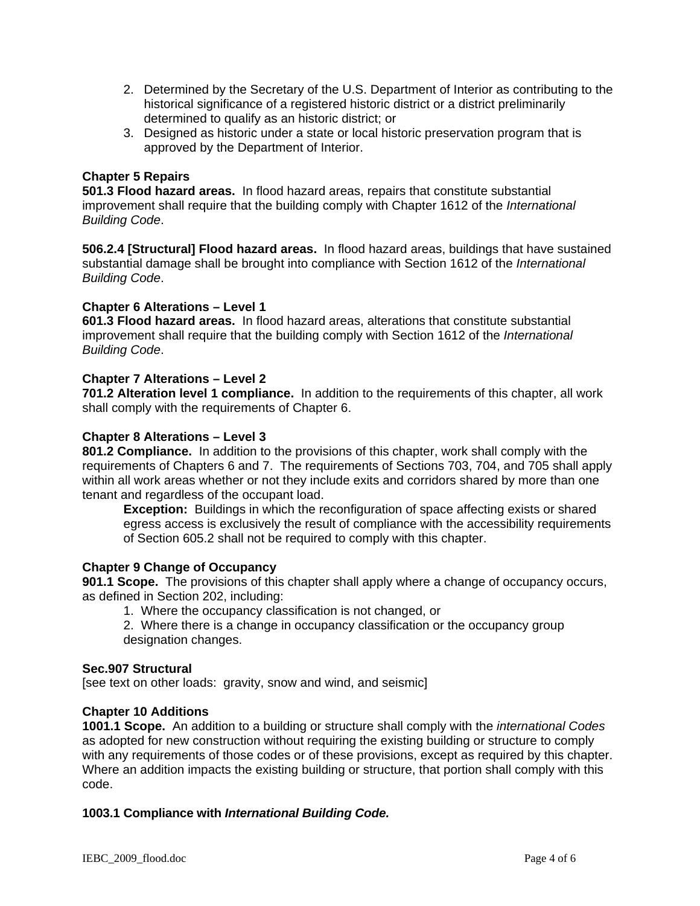- 2. Determined by the Secretary of the U.S. Department of Interior as contributing to the historical significance of a registered historic district or a district preliminarily determined to qualify as an historic district; or
- 3. Designed as historic under a state or local historic preservation program that is approved by the Department of Interior.

## **Chapter 5 Repairs**

**501.3 Flood hazard areas.** In flood hazard areas, repairs that constitute substantial improvement shall require that the building comply with Chapter 1612 of the *International Building Code*.

**506.2.4 [Structural] Flood hazard areas.** In flood hazard areas, buildings that have sustained substantial damage shall be brought into compliance with Section 1612 of the *International Building Code*.

#### **Chapter 6 Alterations – Level 1**

**601.3 Flood hazard areas.** In flood hazard areas, alterations that constitute substantial improvement shall require that the building comply with Section 1612 of the *International Building Code*.

### **Chapter 7 Alterations – Level 2**

**701.2 Alteration level 1 compliance.** In addition to the requirements of this chapter, all work shall comply with the requirements of Chapter 6.

### **Chapter 8 Alterations – Level 3**

**801.2 Compliance.** In addition to the provisions of this chapter, work shall comply with the requirements of Chapters 6 and 7. The requirements of Sections 703, 704, and 705 shall apply within all work areas whether or not they include exits and corridors shared by more than one tenant and regardless of the occupant load.

**Exception:** Buildings in which the reconfiguration of space affecting exists or shared egress access is exclusively the result of compliance with the accessibility requirements of Section 605.2 shall not be required to comply with this chapter.

#### **Chapter 9 Change of Occupancy**

**901.1 Scope.** The provisions of this chapter shall apply where a change of occupancy occurs, as defined in Section 202, including:

1. Where the occupancy classification is not changed, or

2. Where there is a change in occupancy classification or the occupancy group designation changes.

#### **Sec.907 Structural**

[see text on other loads: gravity, snow and wind, and seismic]

#### **Chapter 10 Additions**

**1001.1 Scope.** An addition to a building or structure shall comply with the *international Codes* as adopted for new construction without requiring the existing building or structure to comply with any requirements of those codes or of these provisions, except as required by this chapter. Where an addition impacts the existing building or structure, that portion shall comply with this code.

#### **1003.1 Compliance with** *International Building Code.*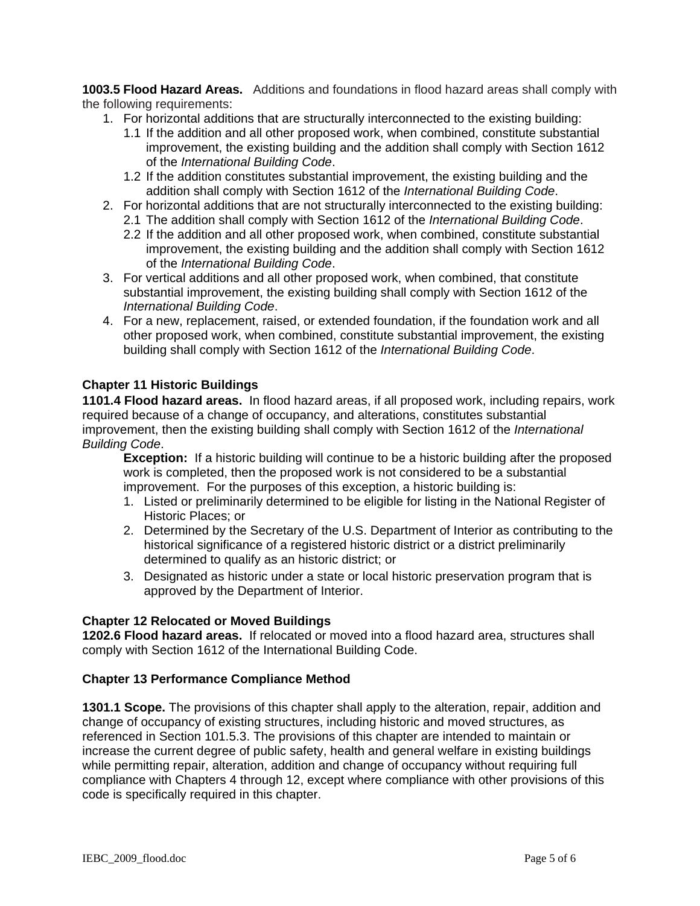**1003.5 Flood Hazard Areas.** Additions and foundations in flood hazard areas shall comply with the following requirements:

- 1. For horizontal additions that are structurally interconnected to the existing building:
	- 1.1 If the addition and all other proposed work, when combined, constitute substantial improvement, the existing building and the addition shall comply with Section 1612 of the *International Building Code*.
	- 1.2 If the addition constitutes substantial improvement, the existing building and the addition shall comply with Section 1612 of the *International Building Code*.
- 2. For horizontal additions that are not structurally interconnected to the existing building:
	- 2.1 The addition shall comply with Section 1612 of the *International Building Code*.
	- 2.2 If the addition and all other proposed work, when combined, constitute substantial improvement, the existing building and the addition shall comply with Section 1612 of the *International Building Code*.
- 3. For vertical additions and all other proposed work, when combined, that constitute substantial improvement, the existing building shall comply with Section 1612 of the *International Building Code*.
- 4. For a new, replacement, raised, or extended foundation, if the foundation work and all other proposed work, when combined, constitute substantial improvement, the existing building shall comply with Section 1612 of the *International Building Code*.

### **Chapter 11 Historic Buildings**

**1101.4 Flood hazard areas.** In flood hazard areas, if all proposed work, including repairs, work required because of a change of occupancy, and alterations, constitutes substantial improvement, then the existing building shall comply with Section 1612 of the *International Building Code*.

**Exception:** If a historic building will continue to be a historic building after the proposed work is completed, then the proposed work is not considered to be a substantial improvement. For the purposes of this exception, a historic building is:

- 1. Listed or preliminarily determined to be eligible for listing in the National Register of Historic Places; or
- 2. Determined by the Secretary of the U.S. Department of Interior as contributing to the historical significance of a registered historic district or a district preliminarily determined to qualify as an historic district; or
- 3. Designated as historic under a state or local historic preservation program that is approved by the Department of Interior.

## **Chapter 12 Relocated or Moved Buildings**

**1202.6 Flood hazard areas.** If relocated or moved into a flood hazard area, structures shall comply with Section 1612 of the International Building Code.

#### **Chapter 13 Performance Compliance Method**

**1301.1 Scope.** The provisions of this chapter shall apply to the alteration, repair, addition and change of occupancy of existing structures, including historic and moved structures, as referenced in Section 101.5.3. The provisions of this chapter are intended to maintain or increase the current degree of public safety, health and general welfare in existing buildings while permitting repair, alteration, addition and change of occupancy without requiring full compliance with Chapters 4 through 12, except where compliance with other provisions of this code is specifically required in this chapter.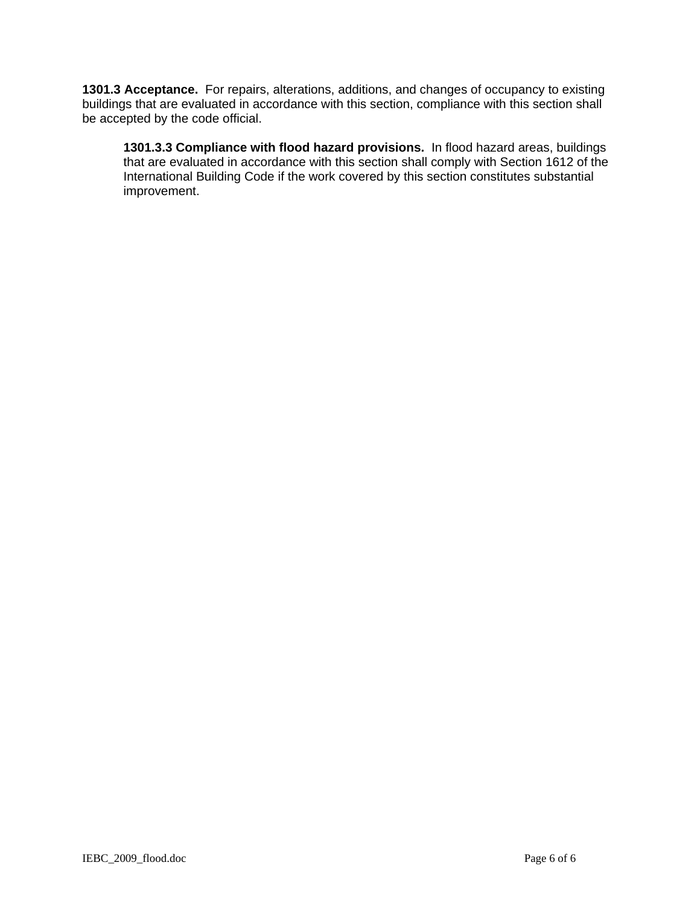**1301.3 Acceptance.** For repairs, alterations, additions, and changes of occupancy to existing buildings that are evaluated in accordance with this section, compliance with this section shall be accepted by the code official.

**1301.3.3 Compliance with flood hazard provisions.** In flood hazard areas, buildings that are evaluated in accordance with this section shall comply with Section 1612 of the International Building Code if the work covered by this section constitutes substantial improvement.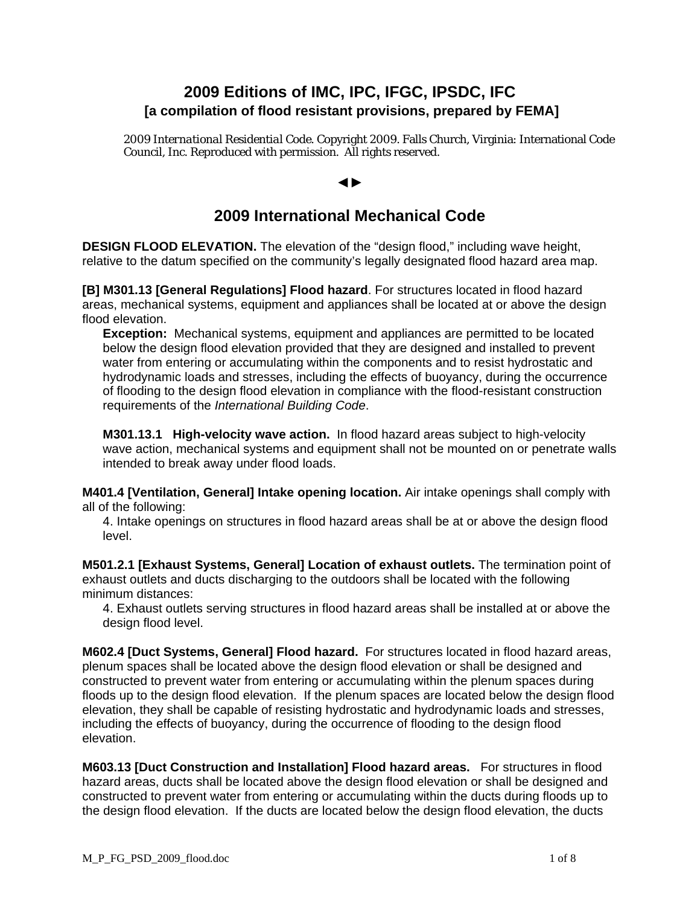# **2009 Editions of IMC, IPC, IFGC, IPSDC, IFC [a compilation of flood resistant provisions, prepared by FEMA]**

*2009 International Residential Code*. Copyright 2009. Falls Church, Virginia: International Code Council, Inc. Reproduced with permission. All rights reserved.

#### **◄►**

# **2009 International Mechanical Code**

**DESIGN FLOOD ELEVATION.** The elevation of the "design flood," including wave height, relative to the datum specified on the community's legally designated flood hazard area map.

**[B] M301.13 [General Regulations] Flood hazard**. For structures located in flood hazard areas, mechanical systems, equipment and appliances shall be located at or above the design flood elevation.

**Exception:** Mechanical systems, equipment and appliances are permitted to be located below the design flood elevation provided that they are designed and installed to prevent water from entering or accumulating within the components and to resist hydrostatic and hydrodynamic loads and stresses, including the effects of buoyancy, during the occurrence of flooding to the design flood elevation in compliance with the flood-resistant construction requirements of the *International Building Code*.

**M301.13.1 High-velocity wave action.** In flood hazard areas subject to high-velocity wave action, mechanical systems and equipment shall not be mounted on or penetrate walls intended to break away under flood loads.

**M401.4 [Ventilation, General] Intake opening location.** Air intake openings shall comply with all of the following:

4. Intake openings on structures in flood hazard areas shall be at or above the design flood level.

**M501.2.1 [Exhaust Systems, General] Location of exhaust outlets.** The termination point of exhaust outlets and ducts discharging to the outdoors shall be located with the following minimum distances:

4. Exhaust outlets serving structures in flood hazard areas shall be installed at or above the design flood level.

**M602.4 [Duct Systems, General] Flood hazard.** For structures located in flood hazard areas, plenum spaces shall be located above the design flood elevation or shall be designed and constructed to prevent water from entering or accumulating within the plenum spaces during floods up to the design flood elevation. If the plenum spaces are located below the design flood elevation, they shall be capable of resisting hydrostatic and hydrodynamic loads and stresses, including the effects of buoyancy, during the occurrence of flooding to the design flood elevation.

**M603.13 [Duct Construction and Installation] Flood hazard areas.** For structures in flood hazard areas, ducts shall be located above the design flood elevation or shall be designed and constructed to prevent water from entering or accumulating within the ducts during floods up to the design flood elevation. If the ducts are located below the design flood elevation, the ducts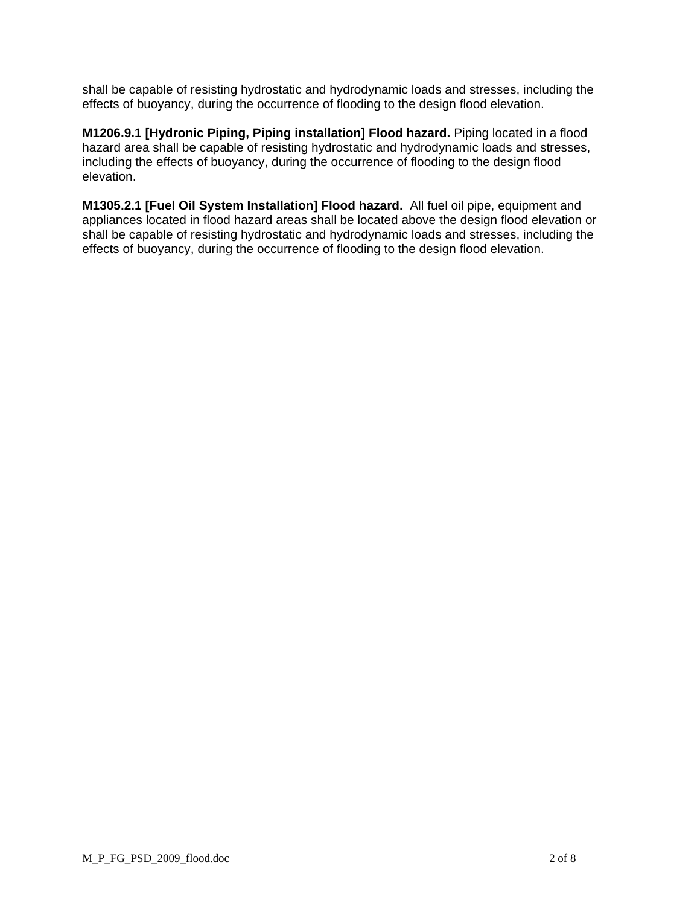shall be capable of resisting hydrostatic and hydrodynamic loads and stresses, including the effects of buoyancy, during the occurrence of flooding to the design flood elevation.

**M1206.9.1 [Hydronic Piping, Piping installation] Flood hazard.** Piping located in a flood hazard area shall be capable of resisting hydrostatic and hydrodynamic loads and stresses, including the effects of buoyancy, during the occurrence of flooding to the design flood elevation.

**M1305.2.1 [Fuel Oil System Installation] Flood hazard.** All fuel oil pipe, equipment and appliances located in flood hazard areas shall be located above the design flood elevation or shall be capable of resisting hydrostatic and hydrodynamic loads and stresses, including the effects of buoyancy, during the occurrence of flooding to the design flood elevation.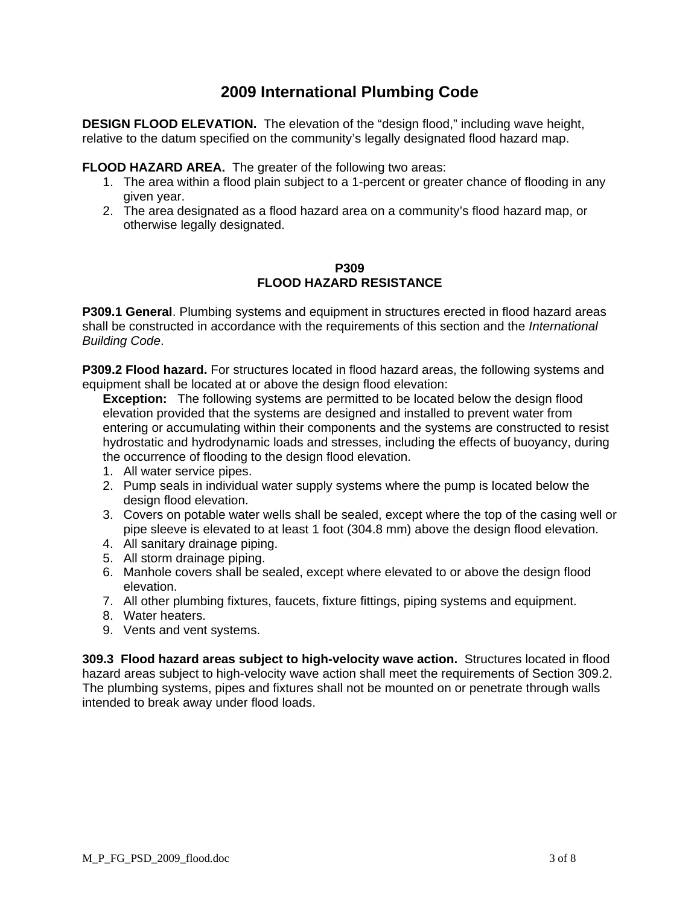# **2009 International Plumbing Code**

**DESIGN FLOOD ELEVATION.** The elevation of the "design flood," including wave height, relative to the datum specified on the community's legally designated flood hazard map.

**FLOOD HAZARD AREA.** The greater of the following two areas:

- 1. The area within a flood plain subject to a 1-percent or greater chance of flooding in any given year.
- 2. The area designated as a flood hazard area on a community's flood hazard map, or otherwise legally designated.

#### **P309 FLOOD HAZARD RESISTANCE**

**P309.1 General**. Plumbing systems and equipment in structures erected in flood hazard areas shall be constructed in accordance with the requirements of this section and the *International Building Code*.

**P309.2 Flood hazard.** For structures located in flood hazard areas, the following systems and equipment shall be located at or above the design flood elevation:

**Exception:** The following systems are permitted to be located below the design flood elevation provided that the systems are designed and installed to prevent water from entering or accumulating within their components and the systems are constructed to resist hydrostatic and hydrodynamic loads and stresses, including the effects of buoyancy, during the occurrence of flooding to the design flood elevation.

- 1. All water service pipes.
- 2. Pump seals in individual water supply systems where the pump is located below the design flood elevation.
- 3. Covers on potable water wells shall be sealed, except where the top of the casing well or pipe sleeve is elevated to at least 1 foot (304.8 mm) above the design flood elevation.
- 4. All sanitary drainage piping.
- 5. All storm drainage piping.
- 6. Manhole covers shall be sealed, except where elevated to or above the design flood elevation.
- 7. All other plumbing fixtures, faucets, fixture fittings, piping systems and equipment.
- 8. Water heaters.
- 9. Vents and vent systems.

**309.3 Flood hazard areas subject to high-velocity wave action.** Structures located in flood hazard areas subject to high-velocity wave action shall meet the requirements of Section 309.2. The plumbing systems, pipes and fixtures shall not be mounted on or penetrate through walls intended to break away under flood loads.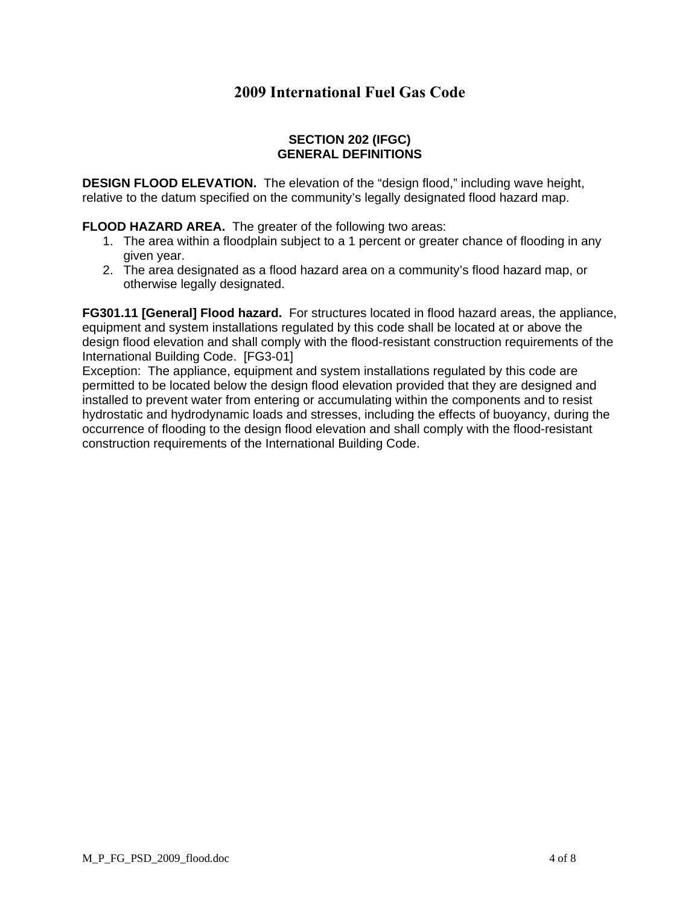# **2009 International Fuel Gas Code**

#### **SECTION 202 (IFGC) GENERAL DEFINITIONS**

**DESIGN FLOOD ELEVATION.** The elevation of the "design flood," including wave height, relative to the datum specified on the community's legally designated flood hazard map.

**FLOOD HAZARD AREA.** The greater of the following two areas:

- 1. The area within a floodplain subject to a 1 percent or greater chance of flooding in any given year.
- 2. The area designated as a flood hazard area on a community's flood hazard map, or otherwise legally designated.

**FG301.11 [General] Flood hazard.** For structures located in flood hazard areas, the appliance, equipment and system installations regulated by this code shall be located at or above the design flood elevation and shall comply with the flood-resistant construction requirements of the International Building Code. [FG3-01]

Exception: The appliance, equipment and system installations regulated by this code are permitted to be located below the design flood elevation provided that they are designed and installed to prevent water from entering or accumulating within the components and to resist hydrostatic and hydrodynamic loads and stresses, including the effects of buoyancy, during the occurrence of flooding to the design flood elevation and shall comply with the flood-resistant construction requirements of the International Building Code.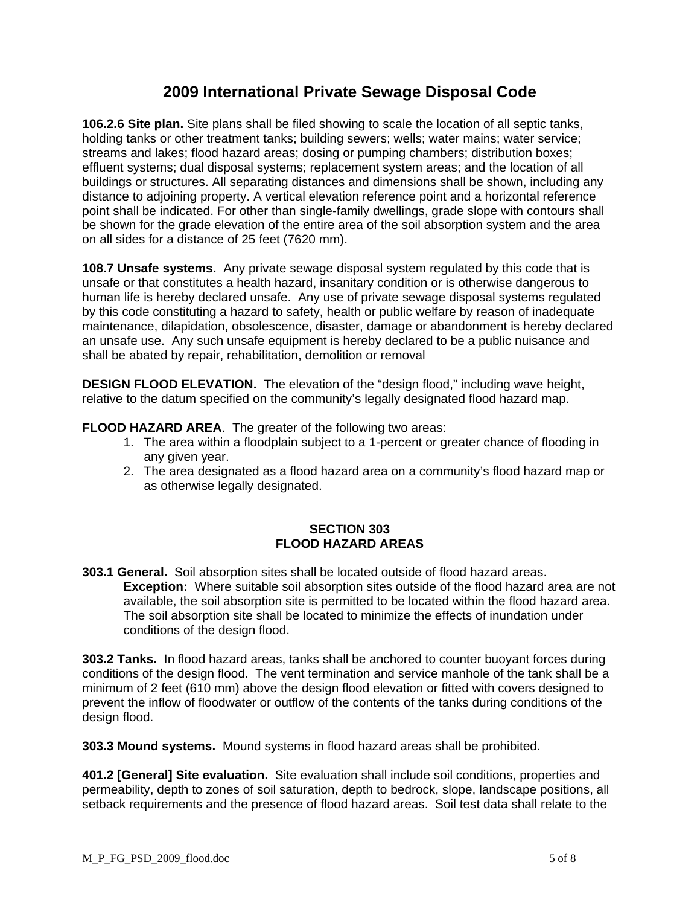# **2009 International Private Sewage Disposal Code**

**106.2.6 Site plan.** Site plans shall be filed showing to scale the location of all septic tanks, holding tanks or other treatment tanks; building sewers; wells; water mains; water service; streams and lakes; flood hazard areas; dosing or pumping chambers; distribution boxes; effluent systems; dual disposal systems; replacement system areas; and the location of all buildings or structures. All separating distances and dimensions shall be shown, including any distance to adjoining property. A vertical elevation reference point and a horizontal reference point shall be indicated. For other than single-family dwellings, grade slope with contours shall be shown for the grade elevation of the entire area of the soil absorption system and the area on all sides for a distance of 25 feet (7620 mm).

**108.7 Unsafe systems.** Any private sewage disposal system regulated by this code that is unsafe or that constitutes a health hazard, insanitary condition or is otherwise dangerous to human life is hereby declared unsafe. Any use of private sewage disposal systems regulated by this code constituting a hazard to safety, health or public welfare by reason of inadequate maintenance, dilapidation, obsolescence, disaster, damage or abandonment is hereby declared an unsafe use. Any such unsafe equipment is hereby declared to be a public nuisance and shall be abated by repair, rehabilitation, demolition or removal

**DESIGN FLOOD ELEVATION.** The elevation of the "design flood," including wave height, relative to the datum specified on the community's legally designated flood hazard map.

**FLOOD HAZARD AREA**. The greater of the following two areas:

- 1. The area within a floodplain subject to a 1-percent or greater chance of flooding in any given year.
- 2. The area designated as a flood hazard area on a community's flood hazard map or as otherwise legally designated.

## **SECTION 303 FLOOD HAZARD AREAS**

**303.1 General.** Soil absorption sites shall be located outside of flood hazard areas. **Exception:** Where suitable soil absorption sites outside of the flood hazard area are not available, the soil absorption site is permitted to be located within the flood hazard area. The soil absorption site shall be located to minimize the effects of inundation under conditions of the design flood.

**303.2 Tanks.** In flood hazard areas, tanks shall be anchored to counter buoyant forces during conditions of the design flood. The vent termination and service manhole of the tank shall be a minimum of 2 feet (610 mm) above the design flood elevation or fitted with covers designed to prevent the inflow of floodwater or outflow of the contents of the tanks during conditions of the design flood.

**303.3 Mound systems.** Mound systems in flood hazard areas shall be prohibited.

**401.2 [General] Site evaluation.** Site evaluation shall include soil conditions, properties and permeability, depth to zones of soil saturation, depth to bedrock, slope, landscape positions, all setback requirements and the presence of flood hazard areas. Soil test data shall relate to the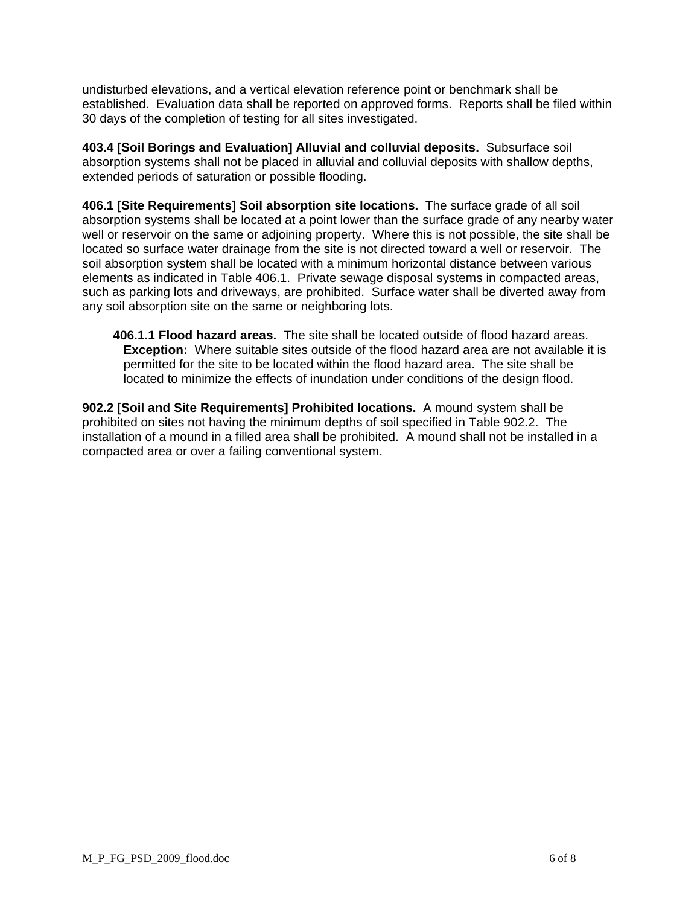undisturbed elevations, and a vertical elevation reference point or benchmark shall be established. Evaluation data shall be reported on approved forms. Reports shall be filed within 30 days of the completion of testing for all sites investigated.

**403.4 [Soil Borings and Evaluation] Alluvial and colluvial deposits.** Subsurface soil absorption systems shall not be placed in alluvial and colluvial deposits with shallow depths, extended periods of saturation or possible flooding.

**406.1 [Site Requirements] Soil absorption site locations.** The surface grade of all soil absorption systems shall be located at a point lower than the surface grade of any nearby water well or reservoir on the same or adjoining property. Where this is not possible, the site shall be located so surface water drainage from the site is not directed toward a well or reservoir. The soil absorption system shall be located with a minimum horizontal distance between various elements as indicated in Table 406.1. Private sewage disposal systems in compacted areas, such as parking lots and driveways, are prohibited. Surface water shall be diverted away from any soil absorption site on the same or neighboring lots.

**406.1.1 Flood hazard areas.** The site shall be located outside of flood hazard areas. **Exception:** Where suitable sites outside of the flood hazard area are not available it is permitted for the site to be located within the flood hazard area. The site shall be located to minimize the effects of inundation under conditions of the design flood.

**902.2 [Soil and Site Requirements] Prohibited locations.** A mound system shall be prohibited on sites not having the minimum depths of soil specified in Table 902.2. The installation of a mound in a filled area shall be prohibited. A mound shall not be installed in a compacted area or over a failing conventional system.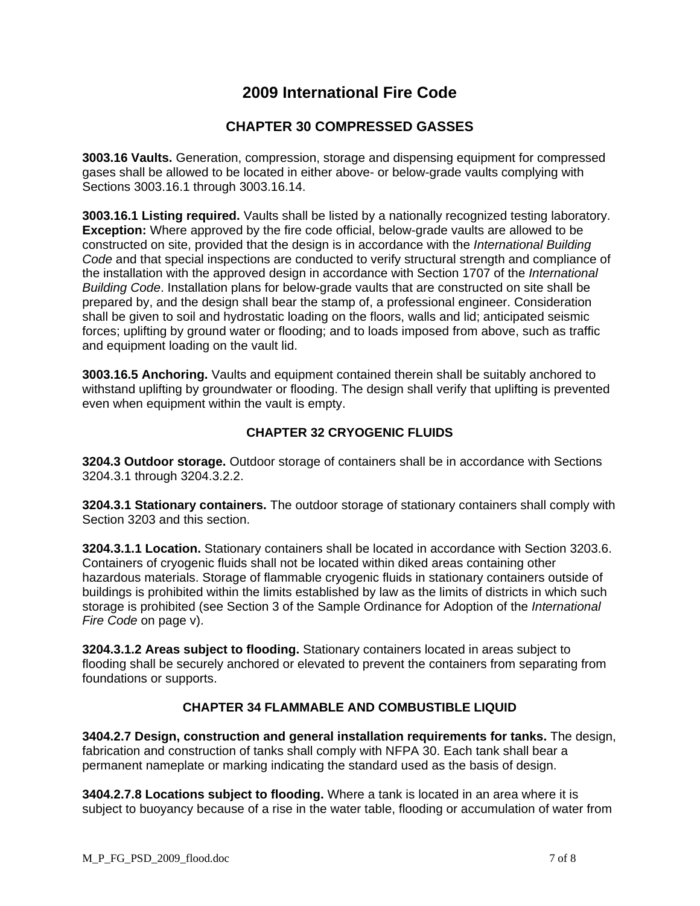# **2009 International Fire Code**

# **CHAPTER 30 COMPRESSED GASSES**

**3003.16 Vaults.** Generation, compression, storage and dispensing equipment for compressed gases shall be allowed to be located in either above- or below-grade vaults complying with Sections 3003.16.1 through 3003.16.14.

**3003.16.1 Listing required.** Vaults shall be listed by a nationally recognized testing laboratory. **Exception:** Where approved by the fire code official, below-grade vaults are allowed to be constructed on site, provided that the design is in accordance with the *International Building Code* and that special inspections are conducted to verify structural strength and compliance of the installation with the approved design in accordance with Section 1707 of the *International Building Code*. Installation plans for below-grade vaults that are constructed on site shall be prepared by, and the design shall bear the stamp of, a professional engineer. Consideration shall be given to soil and hydrostatic loading on the floors, walls and lid; anticipated seismic forces; uplifting by ground water or flooding; and to loads imposed from above, such as traffic and equipment loading on the vault lid.

**3003.16.5 Anchoring.** Vaults and equipment contained therein shall be suitably anchored to withstand uplifting by groundwater or flooding. The design shall verify that uplifting is prevented even when equipment within the vault is empty.

# **CHAPTER 32 CRYOGENIC FLUIDS**

**3204.3 Outdoor storage.** Outdoor storage of containers shall be in accordance with Sections 3204.3.1 through 3204.3.2.2.

**3204.3.1 Stationary containers.** The outdoor storage of stationary containers shall comply with Section 3203 and this section.

**3204.3.1.1 Location.** Stationary containers shall be located in accordance with Section 3203.6. Containers of cryogenic fluids shall not be located within diked areas containing other hazardous materials. Storage of flammable cryogenic fluids in stationary containers outside of buildings is prohibited within the limits established by law as the limits of districts in which such storage is prohibited (see Section 3 of the Sample Ordinance for Adoption of the *International Fire Code* on page v).

**3204.3.1.2 Areas subject to flooding.** Stationary containers located in areas subject to flooding shall be securely anchored or elevated to prevent the containers from separating from foundations or supports.

# **CHAPTER 34 FLAMMABLE AND COMBUSTIBLE LIQUID**

**3404.2.7 Design, construction and general installation requirements for tanks.** The design, fabrication and construction of tanks shall comply with NFPA 30. Each tank shall bear a permanent nameplate or marking indicating the standard used as the basis of design.

**3404.2.7.8 Locations subject to flooding.** Where a tank is located in an area where it is subject to buoyancy because of a rise in the water table, flooding or accumulation of water from